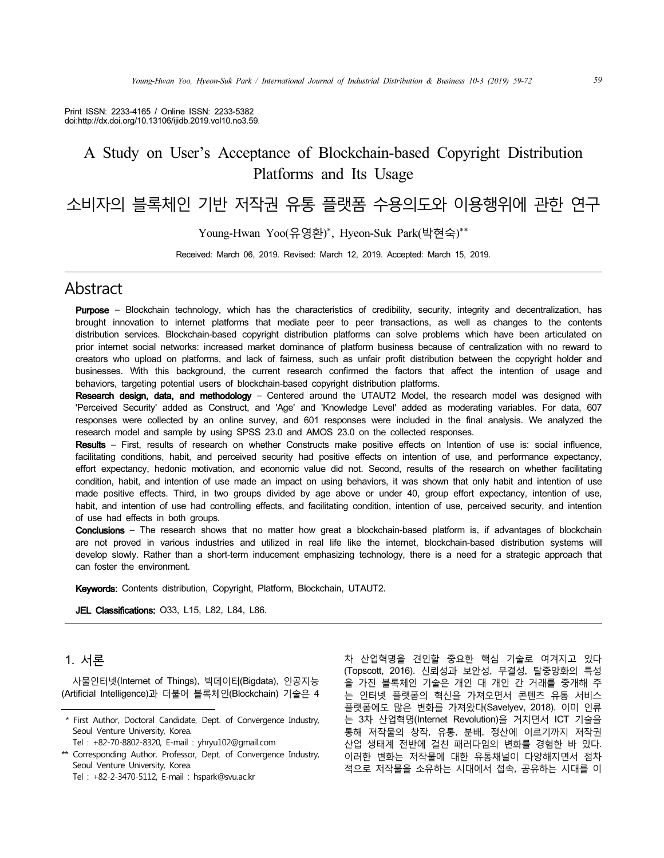Print ISSN: 2233-4165 / Online ISSN: 2233-5382 doi:http://dx.doi.org/10.13106/ijidb.2019.vol10.no3.59.

# A Study on User's Acceptance of Blockchain-based Copyright Distribution Platforms and Its Usage

# 소비자의 블록체인 기반 저작권 유통 플랫폼 수용의도와 이용행위에 관한 연구

Young-Hwan Yoo(유영환)\*, Hyeon-Suk Park(박현숙)\*\*

Received: March 06, 2019. Revised: March 12, 2019. Accepted: March 15, 2019.

## Abstract

Purpose - Blockchain technology, which has the characteristics of credibility, security, integrity and decentralization, has brought innovation to internet platforms that mediate peer to peer transactions, as well as changes to the contents distribution services. Blockchain-based copyright distribution platforms can solve problems which have been articulated on prior internet social networks: increased market dominance of platform business because of centralization with no reward to creators who upload on platforms, and lack of fairness, such as unfair profit distribution between the copyright holder and businesses. With this background, the current research confirmed the factors that affect the intention of usage and behaviors, targeting potential users of blockchain-based copyright distribution platforms.

Research design, data, and methodology - Centered around the UTAUT2 Model, the research model was designed with 'Perceived Security' added as Construct, and 'Age' and 'Knowledge Level' added as moderating variables. For data, 607 responses were collected by an online survey, and 601 responses were included in the final analysis. We analyzed the research model and sample by using SPSS 23.0 and AMOS 23.0 on the collected responses.

Results – First, results of research on whether Constructs make positive effects on Intention of use is: social influence, facilitating conditions, habit, and perceived security had positive effects on intention of use, and performance expectancy, effort expectancy, hedonic motivation, and economic value did not. Second, results of the research on whether facilitating condition, habit, and intention of use made an impact on using behaviors, it was shown that only habit and intention of use made positive effects. Third, in two groups divided by age above or under 40, group effort expectancy, intention of use, habit, and intention of use had controlling effects, and facilitating condition, intention of use, perceived security, and intention of use had effects in both groups.

Conclusions - The research shows that no matter how great a blockchain-based platform is, if advantages of blockchain are not proved in various industries and utilized in real life like the internet, blockchain-based distribution systems will develop slowly. Rather than a short-term inducement emphasizing technology, there is a need for a strategic approach that can foster the environment.

Keywords: Contents distribution, Copyright, Platform, Blockchain, UTAUT2.

**JEL Classifications: 033, L15, L82, L84, L86.** 

## 1. 서론

사물인터넷(Internet of Things), 빅데이터(Bigdata), 인공지능 (Artificial Intelligence)과 더불어 블록체인(Blockchain) 기술은 4

차 산업혁명을 견인할 중요한 핵심 기술로 여겨지고 있다 (Topscott, 2016). 신뢰성과 보안성, 무결성, 탈중앙화의 특성 을 가진 블록체인 기술은 개인 대 개인 간 거래를 중개해 주 는 인터넷 플랫폼의 혁신을 가져오면서 콘텐츠 유통 서비스 플랫폼에도 많은 변화를 가져왔다(Savelyev, 2018). 이미 인류 는 3차 산업혁명(Internet Revolution)을 거치면서 ICT 기술을 통해 저작물의 창작, 유통, 분배, 정산에 이르기까지 저작권 산업 생태계 전반에 걸친 패러다임의 변화를 경험한 바 있다. 이러한 변화는 저작물에 대한 유통채널이 다양해지면서 점차 적으로 저작물을 소유하는 시대에서 접속, 공유하는 시대를 이

 <sup>\*</sup> First Author, Doctoral Candidate, Dept. of Convergence Industry, Seoul Venture University, Korea.

Tel : +82-70-8802-8320, E-mail : yhryu102@gmail.com

<sup>\*\*</sup> Corresponding Author, Professor, Dept. of Convergence Industry, Seoul Venture University, Korea. Tel : +82-2-3470-5112, E-mail : hspark@svu.ac.kr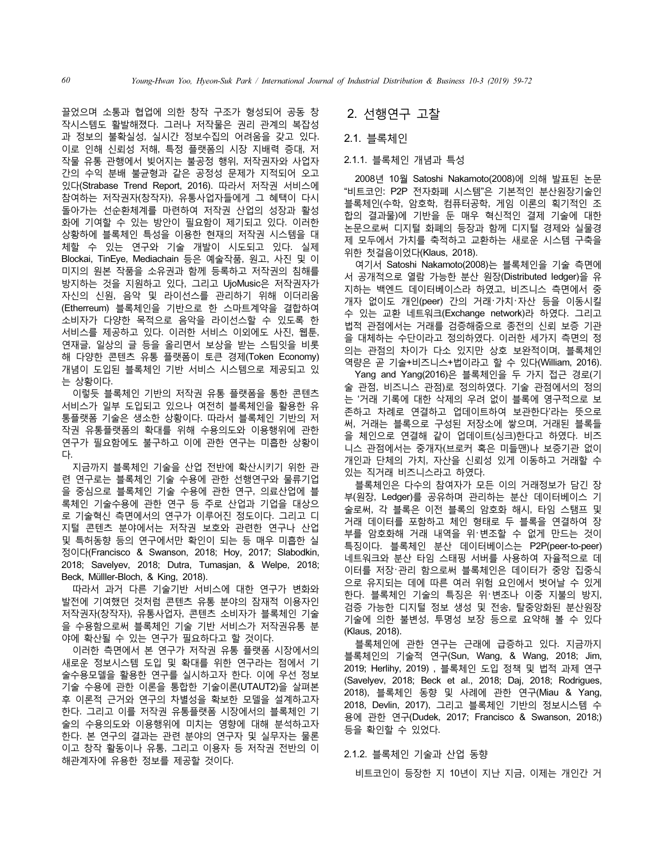끌었으며 소통과 협업에 의한 창작 구조가 형성되어 공동 창 작시스템도 활발해졌다. 그러나 저작물은 권리 관계의 복잡성 과 정보의 불확실성, 실시간 정보수집의 어려움을 갖고 있다. 이로 인해 신뢰성 저해, 특정 플랫폼의 시장 지배력 증대, 저 작물 유통 관행에서 빚어지는 불공정 행위, 저작권자와 사업자 간의 수익 분배 불균형과 같은 공정성 문제가 지적되어 오고 있다(Strabase Trend Report, 2016). 따라서 저작권 서비스에 참여하는 저작권자(창작자), 유통사업자들에게 그 혜택이 다시 돌아가는 선순환체계를 마련하여 저작권 산업의 성장과 활성 화에 기여할 수 있는 방안이 필요함이 제기되고 있다. 이러한 상황하에 블록체인 특성을 이용한 현재의 저작권 시스템을 대 체할 수 있는 연구와 기술 개발이 시도되고 있다. 실제 Blockai, TinEye, Mediachain 등은 예술작품, 원고, 사진 및 이 미지의 원본 작품을 소유권과 함께 등록하고 저작권의 침해를 방지하는 것을 지원하고 있다, 그리고 UjoMusic은 저작권자가 자신의 신원, 음악 및 라이선스를 관리하기 위해 이더리움 (Etherreum) 블록체인을 기반으로 한 스마트계약을 결합하여 소비자가 다양한 목적으로 음악을 라이선스할 수 있도록 한 서비스를 제공하고 있다. 이러한 서비스 이외에도 사진, 웹툰, 연재글, 일상의 글 등을 올리면서 보상을 받는 스팀잇을 비롯 해 다양한 콘텐츠 유통 플랫폼이 토큰 경제(Token Economy) 개념이 도입된 블록체인 기반 서비스 시스템으로 제공되고 있 는 상황이다.

이렇듯 블록체인 기반의 저작권 유통 플랫폼을 통한 콘텐츠 서비스가 일부 도입되고 있으나 여전히 블록체인을 활용한 유 통플랫폼 기술은 생소한 상황이다. 따라서 블록체인 기반의 저 작권 유통플랫폼의 확대를 위해 수용의도와 이용행위에 관한 연구가 필요함에도 불구하고 이에 관한 연구는 미흡한 상황이 다.

지금까지 블록체인 기술을 산업 전반에 확산시키기 위한 관 련 연구로는 블록체인 기술 수용에 관한 선행연구와 물류기업 을 중심으로 블록체인 기술 수용에 관한 연구, 의료산업에 블 록체인 기술수용에 관한 연구 등 주로 산업과 기업을 대상으 로 기술혁신 측면에서의 연구가 이루어진 정도이다. 그리고 디 지털 콘텐츠 분야에서는 저작권 보호와 관련한 연구나 산업 및 특허동향 등의 연구에서만 확인이 되는 등 매우 미흡한 실 정이다(Francisco & Swanson, 2018; Hoy, 2017; Slabodkin, 2018; Savelyev, 2018; Dutra, Tumasjan, & Welpe, 2018; Beck, Mülller-Bloch, & King, 2018).

따라서 과거 다른 기술기반 서비스에 대한 연구가 변화와 발전에 기여했던 것처럼 콘텐츠 유통 분야의 잠재적 이용자인 저작권자(창작자), 유통사업자, 콘텐츠 소비자가 블록체인 기술 을 수용함으로써 블록체인 기술 기반 서비스가 저작권유통 분 야에 확산될 수 있는 연구가 필요하다고 할 것이다.

이러한 측면에서 본 연구가 저작권 유통 플랫폼 시장에서의 새로운 정보시스템 도입 및 확대를 위한 연구라는 점에서 기 술수용모델을 활용한 연구를 실시하고자 한다. 이에 우선 정보 기술 수용에 관한 이론을 통합한 기술이론(UTAUT2)을 살펴본 후 이론적 근거와 연구의 차별성을 확보한 모델을 설계하고자 한다. 그리고 이를 저작권 유통플랫폼 시장에서의 블록체인 기 술의 수용의도와 이용행위에 미치는 영향에 대해 분석하고자 한다. 본 연구의 결과는 관련 분야의 연구자 및 실무자는 물론 이고 창작 활동이나 유통, 그리고 이용자 등 저작권 전반의 이 해관계자에 유용한 정보를 제공할 것이다.

## 2. 선행연구 고찰

2.1. 블록체인

#### 2.1.1. 블록체인 개념과 특성

2008년 10월 Satoshi Nakamoto(2008)에 의해 발표된 논문 "비트코인: P2P 전자화폐 시스템"은 기본적인 분산원장기술인 블록체인(수학, 암호학, 컴퓨터공학, 게임 이론의 획기적인 조 합의 결과물)에 기반을 둔 매우 혁신적인 결제 기술에 대한 논문으로써 디지털 화폐의 등장과 함께 디지털 경제와 실물경 제 모두에서 가치를 축적하고 교환하는 새로운 시스템 구축을 위한 첫걸음이었다(Klaus, 2018).

여기서 Satoshi Nakamoto(2008)는 블록체인을 기술 측면에 서 공개적으로 열람 가능한 분산 원장(Distributed ledger)을 유 지하는 백엔드 데이터베이스라 하였고, 비즈니스 측면에서 중 개자 없이도 개인(peer) 간의 거래・가치・자산 등을 이동시킬 수 있는 교환 네트워크(Exchange network)라 하였다. 그리고 법적 관점에서는 거래를 검증해줌으로 종전의 신뢰 보증 기관 을 대체하는 수단이라고 정의하였다. 이러한 세가지 측면의 정 의는 관점의 차이가 다소 있지만 상호 보완적이며, 블록체인 역량은 곧 기술+비즈니스+법이라고 할 수 있다(William, 2016).

Yang and Yang(2016)은 블록체인을 두 가지 접근 경로(기 술 관점, 비즈니스 관점)로 정의하였다. 기술 관점에서의 정의 는 '거래 기록에 대한 삭제의 우려 없이 블록에 영구적으로 보 존하고 차례로 연결하고 업데이트하여 보관한다'라는 뜻으로 써, 거래는 블록으로 구성된 저장소에 쌓으며, 거래된 블록들 을 체인으로 연결해 같이 업데이트(싱크)한다고 하였다. 비즈 니스 관점에서는 중개자(브로커 혹은 미들맨)나 보증기관 없이 개인과 단체의 가치, 자산을 신뢰성 있게 이동하고 거래할 수 있는 직거래 비즈니스라고 하였다.

블록체인은 다수의 참여자가 모든 이의 거래정보가 담긴 장 부(원장, Ledger)를 공유하며 관리하는 분산 데이터베이스 기 술로써, 각 블록은 이전 블록의 암호화 해시, 타임 스탬프 및 거래 데이터를 포함하고 체인 형태로 두 블록을 연결하여 장 부를 암호화해 거래 내역을 위・변조할 수 없게 만드는 것이 특징이다. 블록체인 분산 데이터베이스는 P2P(peer-to-peer) 네트워크와 분산 타임 스태핑 서버를 사용하여 자율적으로 데 이터를 저장・관리 함으로써 블록체인은 데이터가 중앙 집중식 으로 유지되는 데에 따른 여러 위험 요인에서 벗어날 수 있게 한다. 블록체인 기술의 특징은 위・변조나 이중 지불의 방지, 검증 가능한 디지털 정보 생성 및 전송, 탈중앙화된 분산원장 기술에 의한 불변성, 투명성 보장 등으로 요약해 볼 수 있다 (Klaus, 2018).

블록체인에 관한 연구는 근래에 급증하고 있다. 지금까지 블록체인의 기술적 연구(Sun, Wang, & Wang, 2018; Jim, 2019; Herlihy, 2019) , 블록체인 도입 정책 및 법적 과제 연구 (Savelyev, 2018; Beck et al., 2018; Daj, 2018; Rodrigues, 2018), 블록체인 동향 및 사례에 관한 연구(Miau & Yang, 2018, Devlin, 2017), 그리고 블록체인 기반의 정보시스템 수 용에 관한 연구(Dudek, 2017; Francisco & Swanson, 2018;) 등을 확인할 수 있었다.

#### 2.1.2. 블록체인 기술과 산업 동향

비트코인이 등장한 지 10년이 지난 지금, 이제는 개인간 거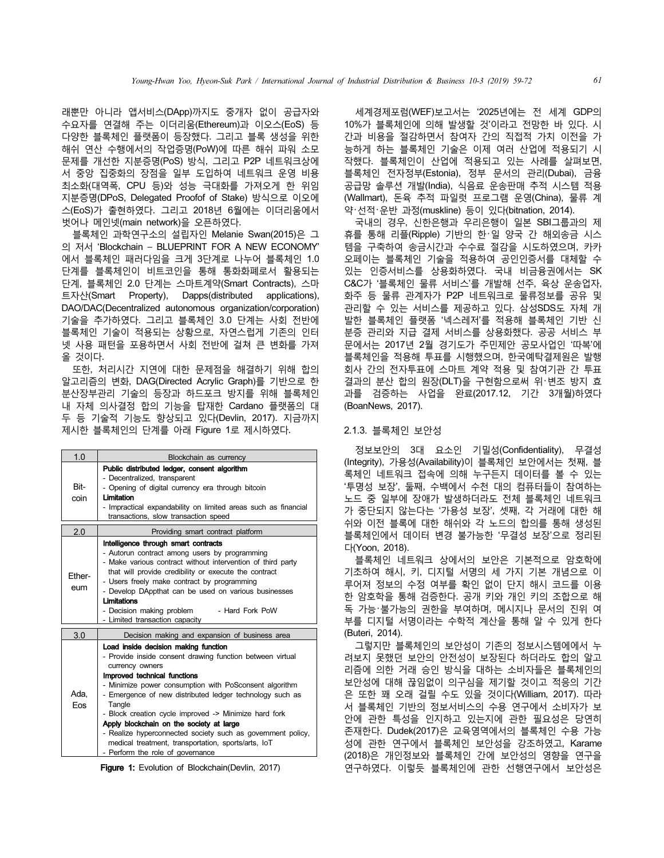래뿐만 아니라 앱서비스(DApp)까지도 중개자 없이 공급자와 수요자를 연결해 주는 이더리움(Ethereum)과 이오스(EoS) 등 다양한 블록체인 플랫폼이 등장했다. 그리고 블록 생성을 위한 해쉬 연산 수행에서의 작업증명(PoW)에 따른 해쉬 파워 소모 문제를 개선한 지분증명(PoS) 방식, 그리고 P2P 네트워크상에 서 중앙 집중화의 장점을 일부 도입하여 네트워크 운영 비용 최소화(대역폭, CPU 등)와 성능 극대화를 가져오게 한 위임 지분증명(DPoS, Delegated Proofof of Stake) 방식으로 이오에 스(EoS)가 출현하였다. 그리고 2018년 6월에는 이더리움에서 벗어나 메인넷(main network)을 오픈하였다.

블록체인 과학연구소의 설립자인 Melanie Swan(2015)은 그 의 저서 'Blockchain – BLUEPRINT FOR A NEW ECONOMY' 에서 블록체인 패러다임을 크게 3단계로 나누어 블록체인 1.0 단계를 블록체인이 비트코인을 통해 통화화폐로서 활용되는 단계, 블록체인 2.0 단계는 스마트계약(Smart Contracts), 스마 트자산(Smart Property), Dapps(distributed applications), DAO/DAC(Decentralized autonomous organization/corporation) 기술을 추가하였다. 그리고 블록체인 3.0 단계는 사회 전반에 블록체인 기술이 적용되는 상황으로, 자연스럽게 기존의 인터 넷 사용 패턴을 포용하면서 사회 전반에 걸쳐 큰 변화를 가져 올 것이다.

또한, 처리시간 지연에 대한 문제점을 해결하기 위해 합의 알고리즘의 변화, DAG(Directed Acrylic Graph)를 기반으로 한 분산장부관리 기술의 등장과 하드포크 방지를 위해 블록체인 내 자체 의사결정 합의 기능을 탑재한 Cardano 플랫폼의 대 두 등 기술적 기능도 향상되고 있다(Devlin, 2017). 지금까지 제시한 블록체인의 단계를 아래 Figure 1로 제시하였다.

| 1.0           | Blockchain as currency                                                                                                                                                                                                                                                                                                                                                                                                                                                                                                                              |
|---------------|-----------------------------------------------------------------------------------------------------------------------------------------------------------------------------------------------------------------------------------------------------------------------------------------------------------------------------------------------------------------------------------------------------------------------------------------------------------------------------------------------------------------------------------------------------|
| Bit-<br>coin  | Public distributed ledger, consent algorithm<br>- Decentralized, transparent<br>- Opening of digital currency era through bitcoin<br>Limitation<br>- Impractical expandability on limited areas such as financial<br>transactions, slow transaction speed                                                                                                                                                                                                                                                                                           |
| 2.0           | Providing smart contract platform                                                                                                                                                                                                                                                                                                                                                                                                                                                                                                                   |
| Fther-<br>eum | Intelligence through smart contracts<br>- Autorun contract among users by programming<br>- Make various contract without intervention of third party<br>that will provide credibility or execute the contract<br>- Users freely make contract by programming<br>- Develop DAppthat can be used on various businesses<br>Limitations<br>- Decision making problem - Hard Fork PoW<br>- Limited transaction capacity                                                                                                                                  |
| 3.0           | Decision making and expansion of business area                                                                                                                                                                                                                                                                                                                                                                                                                                                                                                      |
| Ada.<br>Fos.  | Load inside decision making function<br>- Provide inside consent drawing function between virtual<br>currency owners<br>Improved technical functions<br>- Minimize power consumption with PoSconsent algorithm<br>- Emergence of new distributed ledger technology such as<br>Tangle<br>- Block creation cycle improved -> Minimize hard fork<br>Apply blockchain on the society at large<br>- Realize hyperconnected society such as government policy,<br>medical treatment, transportation, sports/arts, IoT<br>- Perform the role of governance |

Figure 1: Evolution of Blockchain(Devlin, 2017)

세계경제포럼(WEF)보고서는 '2025년에는 전 세계 GDP의 10%가 블록체인에 의해 발생할 것'이라고 전망한 바 있다. 시 간과 비용을 절감하면서 참여자 간의 직접적 가치 이전을 가 능하게 하는 블록체인 기술은 이제 여러 산업에 적용되기 시 작했다. 블록체인이 산업에 적용되고 있는 사례를 살펴보면, 블록체인 전자정부(Estonia), 정부 문서의 관리(Dubai), 금융 공급망 솔루션 개발(India), 식음료 운송판매 추적 시스템 적용 (Wallmart), 돈육 추적 파일럿 프로그램 운영(China), 물류 계 약・선적・운반 과정(muskline) 등이 있다(bitnation, 2014).

국내의 경우, 신한은행과 우리은행이 일본 SBI그룹과의 제 휴를 통해 리플(Ripple) 기반의 한・일 양국 간 해외송금 시스 템을 구축하여 송금시간과 수수료 절감을 시도하였으며, 카카 오페이는 블록체인 기술을 적용하여 공인인증서를 대체할 수 있는 인증서비스를 상용화하였다. 국내 비금융권에서는 SK C&C가 '블록체인 물류 서비스'를 개발해 선주, 육상 운송업자, 화주 등 물류 관계자가 P2P 네트워크로 물류정보를 공유 및 관리할 수 있는 서비스를 제공하고 있다. 삼성SDS도 자체 개 발한 블록체인 플랫폼 '넥스레저'를 적용해 블록체인 기반 신 분증 관리와 지급 결제 서비스를 상용화했다. 공공 서비스 부 문에서는 2017년 2월 경기도가 주민제안 공모사업인 '따복'에 블록체인을 적용해 투표를 시행했으며, 한국예탁결제원은 발행 회사 간의 전자투표에 스마트 계약 적용 및 참여기관 간 투표 결과의 분산 합의 원장(DLT)을 구현함으로써 위・변조 방지 효 과를 검증하는 사업을 완료(2017.12, 기간 3개월)하였다 (BoanNews, 2017).

#### 2.1.3. 블록체인 보안성

정보보안의 3대 요소인 기밀성(Confidentiality), 무결성 (Integrity), 가용성(Availability)이 블록체인 보안에서는 첫째, 블 록체인 네트워크 접속에 의해 누구든지 데이터를 볼 수 있는 '투명성 보장', 둘째, 수백에서 수천 대의 컴퓨터들이 참여하는 노드 중 일부에 장애가 발생하더라도 전체 블록체인 네트워크 가 중단되지 않는다는 '가용성 보장', 셋째, 각 거래에 대한 해 쉬와 이전 블록에 대한 해쉬와 각 노드의 합의를 통해 생성된 블록체인에서 데이터 변경 불가능한 '무결성 보장'으로 정리된 다(Yoon, 2018).

블록체인 네트워크 상에서의 보안은 기본적으로 암호학에 기초하여 해시, 키, 디지털 서명의 세 가지 기본 개념으로 이 루어져 정보의 수정 여부를 확인 없이 단지 해시 코드를 이용 한 암호학을 통해 검증한다. 공개 키와 개인 키의 조합으로 해 독 가능・불가능의 권한을 부여하며, 메시지나 문서의 진위 여 부를 디지털 서명이라는 수학적 계산을 통해 알 수 있게 한다 (Buteri, 2014).

그렇지만 블록체인의 보안성이 기존의 정보시스템에에서 누 려보지 못했던 보안의 안전성이 보장된다 하더라도 합의 알고 리즘에 의한 거래 승인 방식을 대하는 소비자들은 블록체인의 보안성에 대해 끊임없이 의구심을 제기할 것이고 적응의 기간 은 또한 꽤 오래 걸릴 수도 있을 것이다(William, 2017). 따라 서 블록체인 기반의 정보서비스의 수용 연구에서 소비자가 보 안에 관한 특성을 인지하고 있는지에 관한 필요성은 당연히 존재한다. Dudek(2017)은 교육영역에서의 블록체인 수용 가능 성에 관한 연구에서 블록체인 보안성을 강조하였고, Karame (2018)은 개인정보와 블록체인 간에 보안성의 영향을 연구을 연구하였다. 이렇듯 블록체인에 관한 선행연구에서 보안성은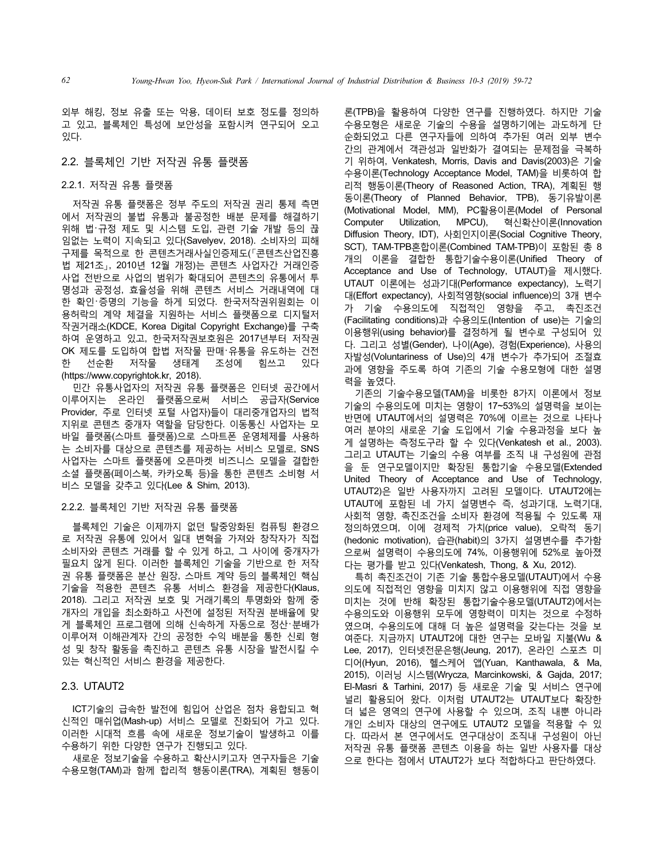외부 해킹, 정보 유출 또는 악용, 데이터 보호 정도를 정의하 고 있고, 블록체인 특성에 보안성을 포함시켜 연구되어 오고 있다.

#### 2.2. 블록체인 기반 저작권 유통 플랫폼

#### 2.2.1. 저작권 유통 플랫폼

저작권 유통 플랫폼은 정부 주도의 저작권 권리 통제 측면 에서 저작권의 불법 유통과 불공정한 배분 문제를 해결하기 위해 법・규정 제도 및 시스템 도입, 관련 기술 개발 등의 끊 임없는 노력이 지속되고 있다(Savelyev, 2018). 소비자의 피해 구제를 목적으로 한 콘텐츠거래사실인증제도(「콘텐츠산업진흥 법 제21조」, 2010년 12월 개정)는 콘텐츠 사업자간 거래인증 사업 전반으로 사업의 범위가 확대되어 콘텐츠의 유통에서 투 명성과 공정성, 효율성을 위해 콘텐츠 서비스 거래내역에 대 한 확인・증명의 기능을 하게 되었다. 한국저작권위원회는 이 용허락의 계약 체결을 지원하는 서비스 플랫폼으로 디지털저 작권거래소(KDCE, Korea Digital Copyright Exchange)를 구축 하여 운영하고 있고, 한국저작권보호원은 2017년부터 저작권 OK 제도를 도입하여 합법 저작물 판매・유통을 유도하는 건전 한 선순환 저작물 생태계 조성에 힘쓰고 있다 (https://www.copyrightok.kr, 2018).

민간 유통사업자의 저작권 유통 플랫폼은 인터넷 공간에서 이루어지는 온라인 플랫폼으로써 서비스 공급자(Service Provider, 주로 인터넷 포털 사업자)들이 대리중개업자의 법적 지위로 콘텐츠 중개자 역할을 담당한다. 이동통신 사업자는 모 바일 플랫폼(스마트 플랫폼)으로 스마트폰 운영체제를 사용하 는 소비자를 대상으로 콘텐츠를 제공하는 서비스 모델로, SNS 사업자는 스마트 플랫폼에 오픈마켓 비즈니스 모델을 결합한 소셜 플랫폼(페이스북, 카카오톡 등)을 통한 콘텐츠 소비형 서 비스 모델을 갖추고 있다(Lee & Shim, 2013).

#### 2.2.2. 블록체인 기반 저작권 유통 플랫폼

블록체인 기술은 이제까지 없던 탈중앙화된 컴퓨팅 환경으 로 저작권 유통에 있어서 일대 변혁을 가져와 창작자가 직접 소비자와 콘텐츠 거래를 할 수 있게 하고, 그 사이에 중개자가 필요치 않게 된다. 이러한 블록체인 기술을 기반으로 한 저작 권 유통 플랫폼은 분산 원장, 스마트 계약 등의 블록체인 핵심 기술을 적용한 콘텐츠 유통 서비스 환경을 제공한다(Klaus, 2018). 그리고 저작권 보호 및 거래기록의 투명화와 함께 중 개자의 개입을 최소화하고 사전에 설정된 저작권 분배율에 맞 게 블록체인 프로그램에 의해 신속하게 자동으로 정산・분배가 이루어져 이해관계자 간의 공정한 수익 배분을 통한 신뢰 형 성 및 창작 활동을 촉진하고 콘텐츠 유통 시장을 발전시킬 수 있는 혁신적인 서비스 환경을 제공한다.

## 2.3. UTAUT2

ICT기술의 급속한 발전에 힘입어 산업은 점차 융합되고 혁 신적인 매쉬업(Mash-up) 서비스 모델로 진화되어 가고 있다. 이러한 시대적 흐름 속에 새로운 정보기술이 발생하고 이를 수용하기 위한 다양한 연구가 진행되고 있다.

새로운 정보기술을 수용하고 확산시키고자 연구자들은 기술 수용모형(TAM)과 함께 합리적 행동이론(TRA), 계획된 행동이

론(TPB)을 활용하여 다양한 연구를 진행하였다. 하지만 기술 수용모형은 새로운 기술의 수용을 설명하기에는 과도하게 단 순화되었고 다른 연구자들에 의하여 추가된 여러 외부 변수 간의 관계에서 객관성과 일반화가 결여되는 문제점을 극복하 기 위하여, Venkatesh, Morris, Davis and Davis(2003)은 기술 수용이론(Technology Acceptance Model, TAM)을 비롯하여 합 리적 행동이론(Theory of Reasoned Action, TRA), 계획된 행 동이론(Theory of Planned Behavior, TPB), 동기유발이론 (Motivational Model, MM), PC활용이론(Model of Personal Computer Utilization, MPCU), 혁신확산이론(Innovation Diffusion Theory, IDT), 사회인지이론(Social Cognitive Theory, SCT), TAM-TPB혼합이론(Combined TAM-TPB)이 포함된 총 8 개의 이론을 결합한 통합기술수용이론(Unified Theory of Acceptance and Use of Technology, UTAUT)을 제시했다. UTAUT 이론에는 성과기대(Performance expectancy), 노력기 대(Effort expectancy), 사회적영향(social influence)의 3개 변수 가 기술 수용의도에 직접적인 영향을 주고, 촉진조건 (Facilitating conditions)과 수용의도(Intention of use)는 기술의 이용행위(using behavior)를 결정하게 될 변수로 구성되어 있 다. 그리고 성별(Gender), 나이(Age), 경험(Experience), 사용의 자발성(Voluntariness of Use)의 4개 변수가 추가되어 조절효 과에 영향을 주도록 하여 기존의 기술 수용모형에 대한 설명 력을 높였다.

기존의 기술수용모델(TAM)을 비롯한 8가지 이론에서 정보 기술의 수용의도에 미치는 영향이 17~53%의 설명력을 보이는 반면에 UTAUT에서의 설명력은 70%에 이르는 것으로 나타나 여러 분야의 새로운 기술 도입에서 기술 수용과정을 보다 높 게 설명하는 측정도구라 할 수 있다(Venkatesh et al., 2003). 그리고 UTAUT는 기술의 수용 여부를 조직 내 구성원에 관점 을 둔 연구모델이지만 확장된 통합기술 수용모델(Extended United Theory of Acceptance and Use of Technology, UTAUT2)은 일반 사용자까지 고려된 모델이다. UTAUT2에는 UTAUT에 포함된 네 가지 설명변수 즉, 성과기대, 노력기대, 사회적 영향, 촉진조건을 소비자 환경에 적용될 수 있도록 재 정의하였으며, 이에 경제적 가치(price value), 오락적 동기 (hedonic motivation), 습관(habit)의 3가지 설명변수를 추가함 으로써 설명력이 수용의도에 74%, 이용행위에 52%로 높아졌 다는 평가를 받고 있다(Venkatesh, Thong, & Xu, 2012).

특히 촉진조건이 기존 기술 통합수용모델(UTAUT)에서 수용 의도에 직접적인 영향을 미치지 않고 이용행위에 직접 영향을 미치는 것에 반해 확장된 통합기술수용모델(UTAUT2)에서는 수용의도와 이용행위 모두에 영향력이 미치는 것으로 수정하 였으며, 수용의도에 대해 더 높은 설명력을 갖는다는 것을 보 여준다. 지금까지 UTAUT2에 대한 연구는 모바일 지불(Wu & Lee, 2017), 인터넷전문은행(Jeung, 2017), 온라인 스포츠 미 디어(Hyun, 2016), 헬스케어 앱(Yuan, Kanthawala, & Ma, 2015), 이러닝 시스템(Wrycza, Marcinkowski, & Gajda, 2017; El-Masri & Tarhini, 2017) 등 새로운 기술 및 서비스 연구에 널리 활용되어 왔다. 이처럼 UTAUT2는 UTAUT보다 확장한 더 넓은 영역의 연구에 사용할 수 있으며, 조직 내뿐 아니라 개인 소비자 대상의 연구에도 UTAUT2 모델을 적용할 수 있 다. 따라서 본 연구에서도 연구대상이 조직내 구성원이 아닌 저작권 유통 플랫폼 콘텐츠 이용을 하는 일반 사용자를 대상 으로 한다는 점에서 UTAUT2가 보다 적합하다고 판단하였다.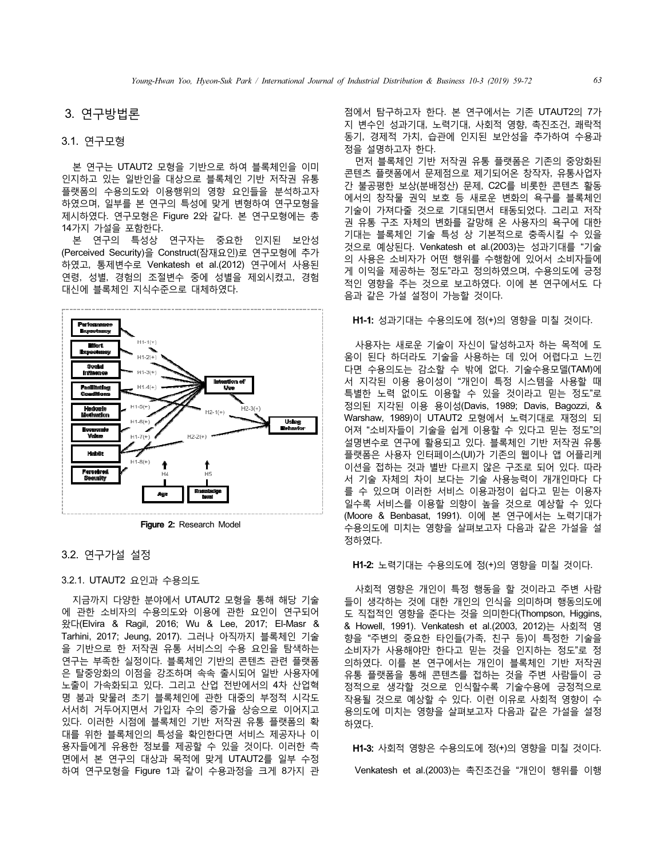## 3. 연구방법론

## 3.1. 연구모형

본 연구는 UTAUT2 모형을 기반으로 하여 블록체인을 이미 인지하고 있는 일반인을 대상으로 블록체인 기반 저작권 유통 플랫폼의 수용의도와 이용행위의 영향 요인들을 분석하고자 하였으며, 일부를 본 연구의 특성에 맞게 변형하여 연구모형을 제시하였다. 연구모형은 Figure 2와 같다. 본 연구모형에는 총 14가지 가설을 포함한다.

본 연구의 특성상 연구자는 중요한 인지된 보안성 (Perceived Security)을 Construct(잠재요인)로 연구모형에 추가 하였고, 통제변수로 Venkatesh et al.(2012) 연구에서 사용된 연령, 성별, 경험의 조절변수 중에 성별을 제외시켰고, 경험 대신에 블록체인 지식수준으로 대체하였다.



Figure 2: Research Model

### 3.2. 연구가설 설정

#### 3.2.1. UTAUT2 요인과 수용의도

지금까지 다양한 분야에서 UTAUT2 모형을 통해 해당 기술 에 관한 소비자의 수용의도와 이용에 관한 요인이 연구되어 왔다(Elvira & Ragil, 2016; Wu & Lee, 2017; El-Masr & Tarhini, 2017; Jeung, 2017). 그러나 아직까지 블록체인 기술 을 기반으로 한 저작권 유통 서비스의 수용 요인을 탐색하는 연구는 부족한 실정이다. 블록체인 기반의 콘텐츠 관련 플랫폼 은 탈중앙화의 이점을 강조하며 속속 출시되어 일반 사용자에 노출이 가속화되고 있다. 그리고 산업 전반에서의 4차 산업혁 명 붐과 맞물려 초기 블록체인에 관한 대중의 부정적 시각도 서서히 거두어지면서 가입자 수의 증가율 상승으로 이어지고 있다. 이러한 시점에 블록체인 기반 저작권 유통 플랫폼의 확 대를 위한 블록체인의 특성을 확인한다면 서비스 제공자나 이 용자들에게 유용한 정보를 제공할 수 있을 것이다. 이러한 측 면에서 본 연구의 대상과 목적에 맞게 UTAUT2를 일부 수정 하여 연구모형을 Figure 1과 같이 수용과정을 크게 8가지 관

점에서 탐구하고자 한다. 본 연구에서는 기존 UTAUT2의 7가 지 변수인 성과기대, 노력기대, 사회적 영향, 촉진조건, 쾌락적 동기, 경제적 가치, 습관에 인지된 보안성을 추가하여 수용과 정을 설명하고자 한다.

먼저 블록체인 기반 저작권 유통 플랫폼은 기존의 중앙화된 콘텐츠 플랫폼에서 문제점으로 제기되어온 창작자, 유통사업자 간 불공평한 보상(분배정산) 문제, C2C를 비롯한 콘텐츠 활동 에서의 창작물 권익 보호 등 새로운 변화의 욕구를 블록체인 기술이 가져다줄 것으로 기대되면서 태동되었다. 그리고 저작 권 유통 구조 자체의 변화를 갈망해 온 사용자의 욕구에 대한 기대는 블록체인 기술 특성 상 기본적으로 충족시킬 수 있을 것으로 예상된다. Venkatesh et al.(2003)는 성과기대를 "기술 의 사용은 소비자가 어떤 행위를 수행함에 있어서 소비자들에 게 이익을 제공하는 정도"라고 정의하였으며, 수용의도에 긍정 적인 영향을 주는 것으로 보고하였다. 이에 본 연구에서도 다 음과 같은 가설 설정이 가능할 것이다.

#### H1-1: 성과기대는 수용의도에 정(+)의 영향을 미칠 것이다.

사용자는 새로운 기술이 자신이 달성하고자 하는 목적에 도 움이 된다 하더라도 기술을 사용하는 데 있어 어렵다고 느낀 다면 수용의도는 감소할 수 밖에 없다. 기술수용모델(TAM)에 서 지각된 이용 용이성이 "개인이 특정 시스템을 사용할 때 특별한 노력 없이도 이용할 수 있을 것이라고 믿는 정도"로 정의된 지각된 이용 용이성(Davis, 1989; Davis, Bagozzi, & Warshaw, 1989)이 UTAUT2 모형에서 노력기대로 재정의 되 어져 "소비자들이 기술을 쉽게 이용할 수 있다고 믿는 정도"의 설명변수로 연구에 활용되고 있다. 블록체인 기반 저작권 유통 플랫폼은 사용자 인터페이스(UI)가 기존의 웹이나 앱 어플리케 이션을 접하는 것과 별반 다르지 않은 구조로 되어 있다. 따라 서 기술 자체의 차이 보다는 기술 사용능력이 개개인마다 다 를 수 있으며 이러한 서비스 이용과정이 쉽다고 믿는 이용자 일수록 서비스를 이용할 의향이 높을 것으로 예상할 수 있다 (Moore & Benbasat, 1991). 이에 본 연구에서는 노력기대가 수용의도에 미치는 영향을 살펴보고자 다음과 같은 가설을 설 정하였다.

#### H1-2: 노력기대는 수용의도에 정(+)의 영향을 미칠 것이다.

사회적 영향은 개인이 특정 행동을 할 것이라고 주변 사람 들이 생각하는 것에 대한 개인의 인식을 의미하며 행동의도에 도 직접적인 영향을 준다는 것을 의미한다(Thompson, Higgins, & Howell, 1991). Venkatesh et al.(2003, 2012)는 사회적 영 향을 "주변의 중요한 타인들(가족, 친구 등)이 특정한 기술을 소비자가 사용해야만 한다고 믿는 것을 인지하는 정도"로 정 의하였다. 이를 본 연구에서는 개인이 블록체인 기반 저작권 유통 플랫폼을 통해 콘텐츠를 접하는 것을 주변 사람들이 긍 정적으로 생각할 것으로 인식할수록 기술수용에 긍정적으로 작용될 것으로 예상할 수 있다. 이런 이유로 사회적 영향이 수 용의도에 미치는 영향을 살펴보고자 다음과 같은 가설을 설정 하였다.

H1-3: 사회적 영향은 수용의도에 정(+)의 영향을 미칠 것이다. Venkatesh et al.(2003)는 촉진조건을 "개인이 행위를 이행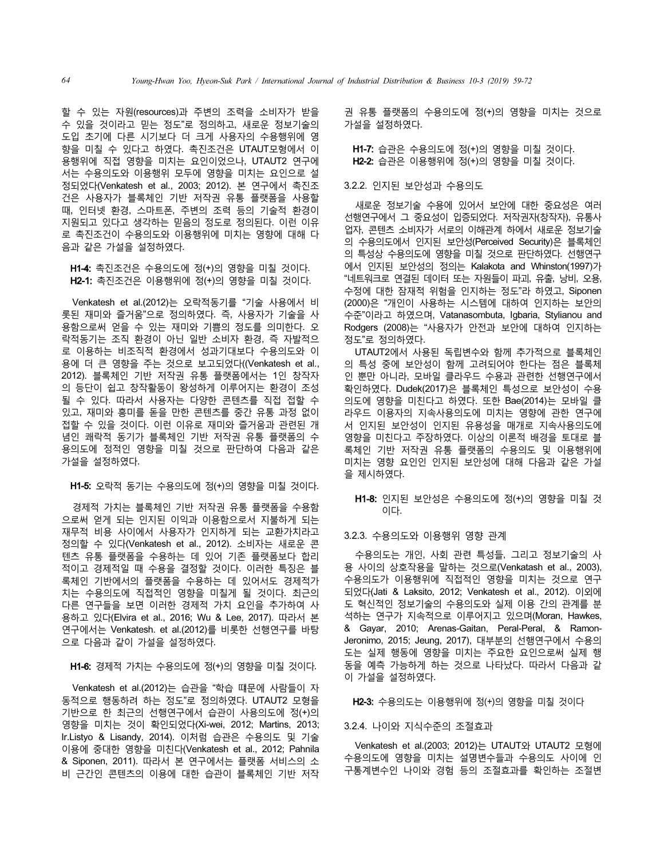할 수 있는 자원(resources)과 주변의 조력을 소비자가 받을 수 있을 것이라고 믿는 정도"로 정의하고, 새로운 정보기술의 도입 초기에 다른 시기보다 더 크게 사용자의 수용행위에 영 향을 미칠 수 있다고 하였다. 촉진조건은 UTAUT모형에서 이 용행위에 직접 영향을 미치는 요인이었으나, UTAUT2 연구에 서는 수용의도와 이용행위 모두에 영향을 미치는 요인으로 설 정되었다(Venkatesh et al., 2003; 2012). 본 연구에서 촉진조 건은 사용자가 블록체인 기반 저작권 유통 플랫폼을 사용할 때, 인터넷 환경, 스마트폰, 주변의 조력 등의 기술적 환경이 지원되고 있다고 생각하는 믿음의 정도로 정의된다. 이런 이유 로 촉진조건이 수용의도와 이용행위에 미치는 영향에 대해 다 음과 같은 가설을 설정하였다.

H1-4: 촉진조건은 수용의도에 정(+)의 영향을 미칠 것이다. H2-1: 촉진조건은 이용행위에 정(+)의 영향을 미칠 것이다.

Venkatesh et al.(2012)는 오락적동기를 "기술 사용에서 비 롯된 재미와 즐거움"으로 정의하였다. 즉, 사용자가 기술을 사 용함으로써 얻을 수 있는 재미와 기쁨의 정도를 의미한다. 오 락적동기는 조직 환경이 아닌 일반 소비자 환경, 즉 자발적으 로 이용하는 비조직적 환경에서 성과기대보다 수용의도와 이 용에 더 큰 영향을 주는 것으로 보고되었다((Venkatesh et al., 2012). 블록체인 기반 저작권 유통 플랫폼에서는 1인 창작자 의 등단이 쉽고 창작활동이 왕성하게 이루어지는 환경이 조성 될 수 있다. 따라서 사용자는 다양한 콘텐츠를 직접 접할 수 있고, 재미와 흥미를 돋을 만한 콘텐츠를 중간 유통 과정 없이 접할 수 있을 것이다. 이런 이유로 재미와 즐거움과 관련된 개 념인 쾌락적 동기가 블록체인 기반 저작권 유통 플랫폼의 수 용의도에 정적인 영향을 미칠 것으로 판단하여 다음과 같은 가설을 설정하였다.

H1-5: 오락적 동기는 수용의도에 정(+)의 영향을 미칠 것이다.

경제적 가치는 블록체인 기반 저작권 유통 플랫폼을 수용함 으로써 얻게 되는 인지된 이익과 이용함으로서 지불하게 되는 재무적 비용 사이에서 사용자가 인지하게 되는 교환가치라고 정의할 수 있다(Venkatesh et al., 2012). 소비자는 새로운 콘 텐츠 유통 플랫폼을 수용하는 데 있어 기존 플랫폼보다 합리 적이고 경제적일 때 수용을 결정할 것이다. 이러한 특징은 블 록체인 기반에서의 플랫폼을 수용하는 데 있어서도 경제적가 치는 수용의도에 직접적인 영향을 미칠게 될 것이다. 최근의 다른 연구들을 보면 이러한 경제적 가치 요인을 추가하여 사 용하고 있다(Elvira et al., 2016; Wu & Lee, 2017). 따라서 본 연구에서는 Venkatesh. et al.(2012)를 비롯한 선행연구를 바탕 으로 다음과 같이 가설을 설정하였다.

H1-6: 경제적 가치는 수용의도에 정(+)의 영향을 미칠 것이다.

Venkatesh et al.(2012)는 습관을 "학습 떄문에 사람들이 자 동적으로 행동하려 하는 정도"로 정의하였다. UTAUT2 모형을 기반으로 한 최근의 선행연구에서 습관이 사용의도에 정(+)의 영향을 미치는 것이 확인되었다(Xi-wei, 2012; Martins, 2013; Ir.Listyo & Lisandy, 2014). 이처럼 습관은 수용의도 및 기술 이용에 중대한 영향을 미친다(Venkatesh et al., 2012; Pahnila & Siponen, 2011). 따라서 본 연구에서는 플랫폼 서비스의 소 비 근간인 콘텐츠의 이용에 대한 습관이 블록체인 기반 저작

권 유통 플랫폼의 수용의도에 정(+)의 영향을 미치는 것으로 가설을 설정하였다.

H1-7: 습관은 수용의도에 정(+)의 영향을 미칠 것이다. H2-2: 습관은 이용행위에 정(+)의 영향을 미칠 것이다.

#### 3.2.2. 인지된 보안성과 수용의도

새로운 정보기술 수용에 있어서 보안에 대한 중요성은 여러 선행연구에서 그 중요성이 입증되었다. 저작권자(창작자), 유통사 업자, 콘텐츠 소비자가 서로의 이해관계 하에서 새로운 정보기술 의 수용의도에서 인지된 보안성(Perceived Security)은 블록체인 의 특성상 수용의도에 영향을 미칠 것으로 판단하였다. 선행연구 에서 인지된 보안성의 정의는 Kalakota and Whinston(1997)가 "네트워크로 연결된 데이터 또는 자원들이 파괴, 유출, 낭비, 오용, 수정에 대한 잠재적 위험을 인지하는 정도"라 하였고, Siponen (2000)은 "개인이 사용하는 시스템에 대하여 인지하는 보안의 수준"이라고 하였으며, Vatanasombuta, Igbaria, Stylianou and Rodgers (2008)는 "사용자가 안전과 보안에 대하여 인지하는 정도"로 정의하였다.

UTAUT2에서 사용된 독립변수와 함께 추가적으로 블록체인 의 특성 중에 보안성이 함께 고려되어야 한다는 점은 블록체 인 뿐만 아니라, 모바일 클라우드 수용과 관련한 선행연구에서 확인하였다. Dudek(2017)은 블록체인 특성으로 보안성이 수용 의도에 영향을 미친다고 하였다. 또한 Bae(2014)는 모바일 클 라우드 이용자의 지속사용의도에 미치는 영향에 관한 연구에 서 인지된 보안성이 인지된 유용성을 매개로 지속사용의도에 영향을 미친다고 주장하였다. 이상의 이론적 배경을 토대로 블 록체인 기반 저작권 유통 플랫폼의 수용의도 및 이용행위에 미치는 영향 요인인 인지된 보안성에 대해 다음과 같은 가설 을 제시하였다.

H1-8: 인지된 보안성은 수용의도에 정(+)의 영향을 미칠 것 이다.

#### 3.2.3. 수용의도와 이용행위 영향 관계

수용의도는 개인, 사회 관련 특성들, 그리고 정보기술의 사 용 사이의 상호작용을 말하는 것으로(Venkatash et al., 2003), 수용의도가 이용행위에 직접적인 영향을 미치는 것으로 연구 되었다(Jati & Laksito, 2012; Venkatesh et al., 2012). 이외에 도 혁신적인 정보기술의 수용의도와 실제 이용 간의 관계를 분 석하는 연구가 지속적으로 이루어지고 있으며(Moran, Hawkes, & Gayar, 2010; Arenas-Gaitan, Peral-Peral, & Ramon-Jeronimo, 2015; Jeung, 2017), 대부분의 선행연구에서 수용의 도는 실제 행동에 영향을 미치는 주요한 요인으로써 실제 행 동을 예측 가능하게 하는 것으로 나타났다. 따라서 다음과 같 이 가설을 설정하였다.

#### H2-3: 수용의도는 이용행위에 정(+)의 영향을 미칠 것이다

#### 3.2.4. 나이와 지식수준의 조절효과

Venkatesh et al.(2003; 2012)는 UTAUT와 UTAUT2 모형에 수용의도에 영향을 미치는 설명변수들과 수용의도 사이에 인 구통계변수인 나이와 경험 등의 조절효과를 확인하는 조절변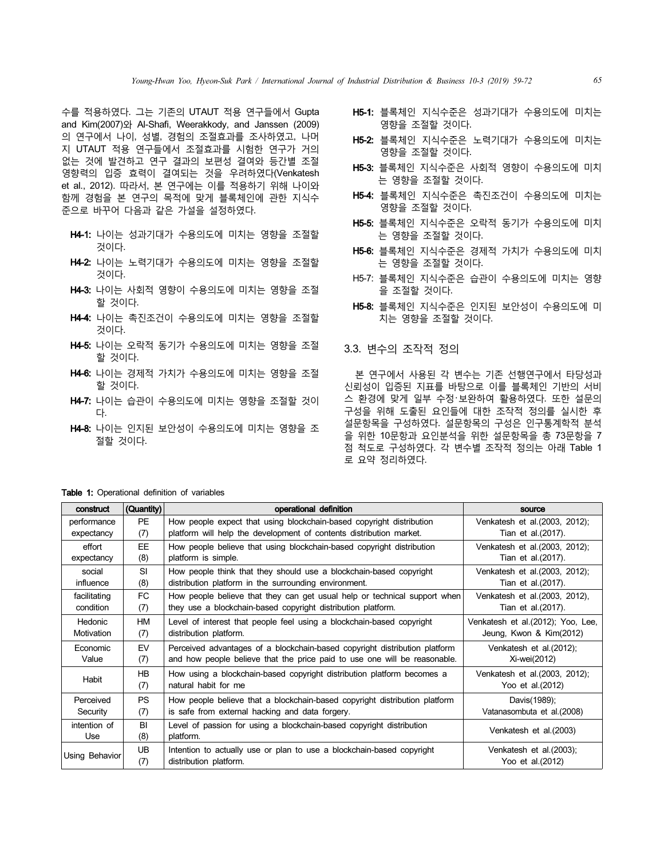수를 적용하였다. 그는 기존의 UTAUT 적용 연구들에서 Gupta and Kim(2007)와 Al-Shafi, Weerakkody, and Janssen (2009) 의 연구에서 나이, 성별, 경험의 조절효과를 조사하였고, 나머 지 UTAUT 적용 연구들에서 조절효과를 시험한 연구가 거의 없는 것에 발견하고 연구 결과의 보편성 결여와 등간별 조절 영향력의 입증 효력이 결여되는 것을 우려하였다(Venkatesh et al., 2012). 따라서, 본 연구에는 이를 적용하기 위해 나이와 함께 경험을 본 연구의 목적에 맞게 블록체인에 관한 지식수 준으로 바꾸어 다음과 같은 가설을 설정하였다.

- H4-1: 나이는 성과기대가 수용의도에 미치는 영향을 조절할 것이다.
- H4-2: 나이는 노력기대가 수용의도에 미치는 영향을 조절할 것이다.
- H4-3: 나이는 사회적 영향이 수용의도에 미치는 영향을 조절 할 것이다.
- H4-4: 나이는 촉진조건이 수용의도에 미치는 영향을 조절할 것이다.
- H4-5: 나이는 오락적 동기가 수용의도에 미치는 영향을 조절 할 것이다.
- H4-6: 나이는 경제적 가치가 수용의도에 미치는 영향을 조절 할 것이다.
- H4-7: 나이는 습관이 수용의도에 미치는 영향을 조절할 것이 다.
- H4-8: 나이는 인지된 보안성이 수용의도에 미치는 영향을 조 절할 것이다.
- H5-1: 블록체인 지식수준은 성과기대가 수용의도에 미치는 영향을 조절할 것이다.
- H5-2: 블록체인 지식수준은 노력기대가 수용의도에 미치는 영향을 조절할 것이다.
- H5-3: 블록체인 지식수준은 사회적 영향이 수용의도에 미치 는 영향을 조절할 것이다.
- H5-4: 블록체인 지식수준은 촉진조건이 수용의도에 미치는 영향을 조절할 것이다.
- H5-5: 블록체인 지식수준은 오락적 동기가 수용의도에 미치 는 영향을 조절할 것이다.
- H5-6: 블록체인 지식수준은 경제적 가치가 수용의도에 미치 는 영향을 조절할 것이다.
- H5-7: 블록체인 지식수준은 습관이 수용의도에 미치는 영향 을 조절할 것이다.
- H5-8: 블록체인 지식수준은 인지된 보안성이 수용의도에 미 치는 영향을 조절할 것이다.

#### 3.3. 변수의 조작적 정의

본 연구에서 사용된 각 변수는 기존 선행연구에서 타당성과 신뢰성이 입증된 지표를 바탕으로 이를 블록체인 기반의 서비 스 환경에 맞게 일부 수정・보완하여 활용하였다. 또한 설문의 구성을 위해 도출된 요인들에 대한 조작적 정의를 실시한 후 설문항목을 구성하였다. 설문항목의 구성은 인구통계학적 분석 을 위한 10문항과 요인분석을 위한 설문항목을 총 73문항을 7 점 척도로 구성하였다. 각 변수별 조작적 정의는 아래 Table 1 로 요약 정리하였다.

Table 1: Operational definition of variables

| construct      | (Quantity) | operational definition                                                     | source                             |
|----------------|------------|----------------------------------------------------------------------------|------------------------------------|
| performance    | PF         | How people expect that using blockchain-based copyright distribution       | Venkatesh et al. (2003, 2012);     |
| expectancy     | (7)        | platform will help the development of contents distribution market.        | Tian et al. (2017).                |
| effort         | <b>EE</b>  | How people believe that using blockchain-based copyright distribution      | Venkatesh et al. (2003, 2012);     |
| expectancy     | (8)        | platform is simple.                                                        | Tian et al. (2017).                |
| social         | <b>SI</b>  | How people think that they should use a blockchain-based copyright         | Venkatesh et al. (2003, 2012);     |
| influence      | (8)        | distribution platform in the surrounding environment.                      | Tian et al. (2017).                |
| facilitating   | FC         | How people believe that they can get usual help or technical support when  | Venkatesh et al. (2003, 2012),     |
| condition      | (7)        | they use a blockchain-based copyright distribution platform.               | Tian et al. (2017).                |
| <b>Hedonic</b> | <b>HM</b>  | Level of interest that people feel using a blockchain-based copyright      | Venkatesh et al. (2012); Yoo, Lee, |
| Motivation     | (7)        | distribution platform.                                                     | Jeung, Kwon & Kim(2012)            |
| Economic       | EV         | Perceived advantages of a blockchain-based copyright distribution platform | Venkatesh et al. (2012);           |
| Value          | (7)        | and how people believe that the price paid to use one will be reasonable.  | Xi-wei(2012)                       |
|                | <b>HB</b>  | How using a blockchain-based copyright distribution platform becomes a     | Venkatesh et al. (2003, 2012);     |
| Habit          | (7)        | natural habit for me                                                       | Yoo et al. (2012)                  |
| Perceived      | <b>PS</b>  | How people believe that a blockchain-based copyright distribution platform | Davis(1989);                       |
| Security       | (7)        | is safe from external hacking and data forgery.                            | Vatanasombuta et al. (2008)        |
| intention of   | BI         | Level of passion for using a blockchain-based copyright distribution       | Venkatesh et al. (2003)            |
| Use            | (8)        | platform.                                                                  |                                    |
| Using Behavior | <b>UB</b>  | Intention to actually use or plan to use a blockchain-based copyright      | Venkatesh et al. (2003);           |
|                | (7)        | distribution platform.                                                     | Yoo et al. (2012)                  |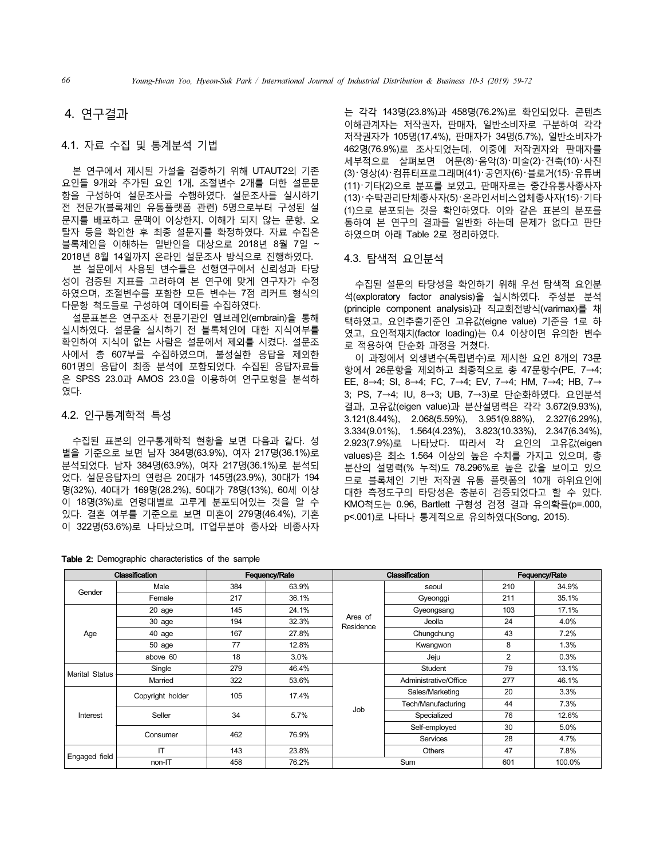## 4. 연구결과

#### 4.1. 자료 수집 및 통계분석 기법

본 연구에서 제시된 가설을 검증하기 위해 UTAUT2의 기존 요인들 9개와 추가된 요인 1개, 조절변수 2개를 더한 설문문 항을 구성하여 설문조사를 수행하였다. 설문조사를 실시하기 전 전문가(블록체인 유통플랫폼 관련) 5명으로부터 구성된 설 문지를 배포하고 문맥이 이상한지, 이해가 되지 않는 문항, 오 탈자 등을 확인한 후 최종 설문지를 확정하였다. 자료 수집은 블록체인을 이해하는 일반인을 대상으로 2018년 8월 7일 ~ 2018년 8월 14일까지 온라인 설문조사 방식으로 진행하였다.

본 설문에서 사용된 변수들은 선행연구에서 신뢰성과 타당 성이 검증된 지표를 고려하여 본 연구에 맞게 연구자가 수정 하였으며, 조절변수를 포함한 모든 변수는 7점 리커트 형식의 다문항 척도들로 구성하여 데이터를 수집하였다.

설문표본은 연구조사 전문기관인 엠브레인(embrain)을 통해 실시하였다. 설문을 실시하기 전 블록체인에 대한 지식여부를 확인하여 지식이 없는 사람은 설문에서 제외를 시켰다. 설문조 사에서 총 607부를 수집하였으며, 불성실한 응답을 제외한 601명의 응답이 최종 분석에 포함되었다. 수집된 응답자료들 은 SPSS 23.0과 AMOS 23.0을 이용하여 연구모형을 분석하 였다.

#### 4.2. 인구통계학적 특성

수집된 표본의 인구통계학적 현황을 보면 다음과 같다. 성 별을 기준으로 보면 남자 384명(63.9%), 여자 217명(36.1%)로 분석되었다. 남자 384명(63.9%), 여자 217명(36.1%)로 분석되 었다. 설문응답자의 연령은 20대가 145명(23.9%), 30대가 194 명(32%), 40대가 169명(28.2%), 50대가 78명(13%), 60세 이상 이 18명(3%)로 연령대별로 고루게 분포되어있는 것을 알 수 있다. 결혼 여부를 기준으로 보면 미혼이 279명(46.4%), 기혼 이 322명(53.6%)로 나타났으며, IT업무분야 종사와 비종사자 는 각각 143명(23.8%)과 458명(76.2%)로 확인되었다. 콘텐츠 이해관계자는 저작권자, 판매자, 일반소비자로 구분하여 각각 저작권자가 105명(17.4%), 판매자가 34명(5.7%), 일반소비자가 462명(76.9%)로 조사되었는데, 이중에 저작권자와 판매자를 세부적으로 살펴보면 어문(8)・음악(3)・미술(2)・건축(10)・사진 (3)・영상(4)・컴퓨터프로그래머(41)・공연자(6)・블로거(15)・유튜버 (11)・기타(2)으로 분포를 보였고, 판매자로는 중간유통사종사자 (13)・수탁관리단체종사자(5)・온라인서비스업체종사자(15)・기타 (1)으로 분포되는 것을 확인하였다. 이와 같은 표본의 분포를 통하여 본 연구의 결과를 일반화 하는데 문제가 없다고 판단 하였으며 아래 Table 2로 정리하였다.

#### 4.3. 탐색적 요인분석

수집된 설문의 타당성을 확인하기 위해 우선 탐색적 요인분 석(exploratory factor analysis)을 실시하였다. 주성분 분석 (principle component analysis)과 직교회전방식(varimax)를 채 택하였고, 요인추출기준인 고유값(eigne value) 기준을 1로 하 였고, 요인적재치(factor loading)는 0.4 이상이면 유의한 변수 로 적용하여 단순화 과정을 거쳤다.

이 과정에서 외생변수(독립변수)로 제시한 요인 8개의 73문 항에서 26문항을 제외하고 최종적으로 총 47문항수(PE, 7→4; EE, 8→4; SI, 8→4; FC, 7→4; EV, 7→4; HM, 7→4; HB, 7→ 3; PS, 7→4; IU, 8→3; UB, 7→3)로 단순화하였다. 요인분석 결과, 고유값(eigen value)과 분산설명력은 각각 3.672(9.93%), 3.121(8.44%), 2.068(5.59%), 3.951(9.88%), 2.327(6.29%), 3.334(9.01%), 1.564(4.23%), 3.823(10.33%), 2.347(6.34%), 2.923(7.9%)로 나타났다. 따라서 각 요인의 고유값(eigen values)은 최소 1.564 이상의 높은 수치를 가지고 있으며, 총 분산의 설명력(% 누적)도 78.296%로 높은 값을 보이고 있으 므로 블록체인 기반 저작권 유통 플랫폼의 10개 하위요인에 대한 측정도구의 타당성은 충분히 검증되었다고 할 수 있다. KMO척도는 0.96, Bartlett 구형성 검정 결과 유의확률(p=.000, p<.001)로 나타나 통계적으로 유의하였다(Song, 2015).

| <b>Classification</b> |                  | Fequency/Rate |               |                      | <b>Classification</b> | <b>Fequency/Rate</b> |        |  |
|-----------------------|------------------|---------------|---------------|----------------------|-----------------------|----------------------|--------|--|
| Gender                | Male             | 384           | 63.9%         |                      | seoul                 | 210                  | 34.9%  |  |
|                       | Female           | 217           | 36.1%         |                      | Gyeonggi              | 211                  | 35.1%  |  |
|                       | $20$ age         | 145           | 24.1%         |                      | Gyeongsang            | 103                  | 17.1%  |  |
|                       | 30 age           | 194           | 32.3%         | Area of<br>Residence | Jeolla                | 24                   | 4.0%   |  |
| Age                   | 40 age           | 167           | 27.8%         |                      | Chungchung            | 43                   | 7.2%   |  |
|                       | 50 age           | 77            | 12.8%         |                      | Kwangwon              | 8                    | 1.3%   |  |
|                       | above 60         | 18            | 3.0%          |                      | Jeju                  | $\overline{2}$       | 0.3%   |  |
| <b>Marital Status</b> | Single           | 279           | 46.4%         |                      | Student               | 79                   | 13.1%  |  |
|                       | Married          | 322           | 53.6%         |                      | Administrative/Office | 277                  | 46.1%  |  |
|                       | Copyright holder | 105           | 17.4%<br>5.7% | Job                  | Sales/Marketing       | 20                   | 3.3%   |  |
|                       |                  |               |               |                      | Tech/Manufacturing    | 44                   | 7.3%   |  |
| Interest              | Seller           | 34            |               |                      | Specialized           | 76                   | 12.6%  |  |
|                       |                  |               |               |                      | Self-employed         | 30                   | 5.0%   |  |
|                       | Consumer         | 462           | 76.9%         |                      | Services              | 28                   | 4.7%   |  |
|                       | IT               | 143           | 23.8%         |                      | <b>Others</b>         | 47                   | 7.8%   |  |
| Engaged field         | non-IT           | 458           | 76.2%         |                      | Sum                   | 601                  | 100.0% |  |

Table 2: Demographic characteristics of the sample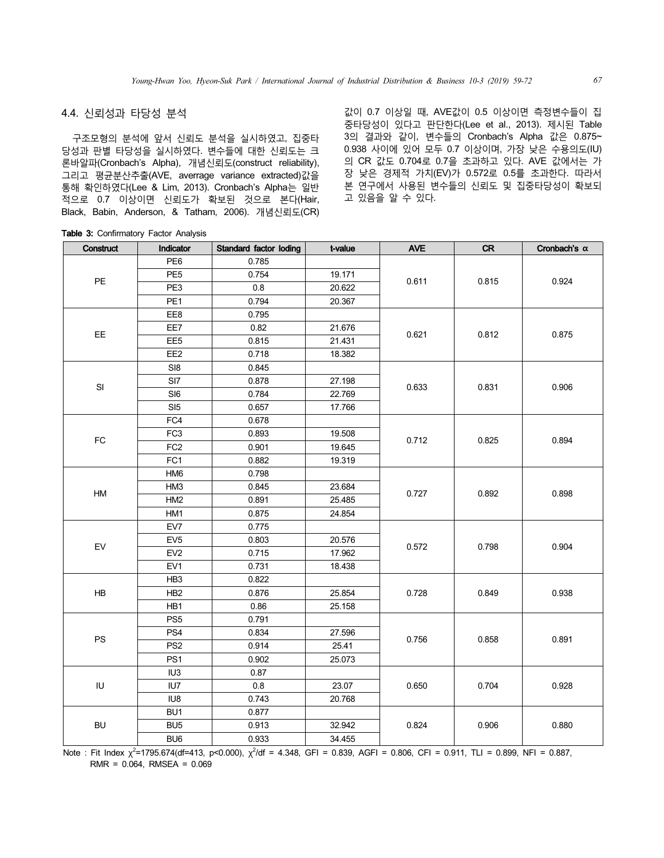## 4.4. 신뢰성과 타당성 분석

구조모형의 분석에 앞서 신뢰도 분석을 실시하였고, 집중타 당성과 판별 타당성을 실시하였다. 변수들에 대한 신뢰도는 크 론바알파(Cronbach's Alpha), 개념신뢰도(construct reliability), 그리고 평균분산추출(AVE, averrage variance extracted)값을 통해 확인하였다(Lee & Lim, 2013). Cronbach's Alpha는 일반 적으로 0.7 이상이면 신뢰도가 확보된 것으로 본다(Hair, Black, Babin, Anderson, & Tatham, 2006). 개념신뢰도(CR)

값이 0.7 이상일 때, AVE값이 0.5 이상이면 측정변수들이 집 중타당성이 있다고 판단한다(Lee et al., 2013). 제시된 Table 3의 결과와 같이, 변수들의 Cronbach's Alpha 값은 0.875~ 0.938 사이에 있어 모두 0.7 이상이며, 가장 낮은 수용의도(IU) 의 CR 값도 0.704로 0.7을 초과하고 있다. AVE 값에서는 가 장 낮은 경제적 가치(EV)가 0.572로 0.5를 초과한다. 따라서 본 연구에서 사용된 변수들의 신뢰도 및 집중타당성이 확보되 고 있음을 알 수 있다.

|  |  | Table 3: Confirmatory Factor Analysis |  |  |
|--|--|---------------------------------------|--|--|
|--|--|---------------------------------------|--|--|

| Construct     | Indicator       | Standard factor loding | t-value | <b>AVE</b> | <b>CR</b> | Cronbach's $\alpha$ |
|---------------|-----------------|------------------------|---------|------------|-----------|---------------------|
|               | PE <sub>6</sub> | 0.785                  |         |            |           |                     |
| PE            | PE <sub>5</sub> | 0.754                  | 19.171  | 0.611      | 0.815     | 0.924               |
|               | PE3             | 0.8                    | 20.622  |            |           |                     |
|               | PE1             | 0.794                  | 20.367  |            |           |                     |
|               | EE8             | 0.795                  |         |            |           |                     |
| EE            | EE7             | 0.82                   | 21.676  | 0.621      | 0.812     | 0.875               |
|               | EE <sub>5</sub> | 0.815                  | 21.431  |            |           |                     |
|               | EE <sub>2</sub> | 0.718                  | 18.382  |            |           |                     |
|               | S18             | 0.845                  |         |            |           |                     |
| $\mathsf{SI}$ | SI7             | 0.878                  | 27.198  | 0.633      | 0.831     | 0.906               |
|               | SI6             | 0.784                  | 22.769  |            |           |                     |
|               | SI5             | 0.657                  | 17.766  |            |           |                     |
|               | FC4             | 0.678                  |         |            |           |                     |
|               | FC <sub>3</sub> | 0.893                  | 19.508  |            | 0.825     |                     |
| ${\sf FC}$    | FC <sub>2</sub> | 0.901                  | 19.645  | 0.712      |           | 0.894               |
|               | FC <sub>1</sub> | 0.882                  | 19.319  |            |           |                     |
|               | HM <sub>6</sub> | 0.798                  |         |            |           |                     |
|               | HM3             | 0.845                  | 23.684  |            |           |                     |
| ${\sf HM}$    | HM2             | 0.891                  | 25.485  | 0.727      | 0.892     | 0.898               |
|               | HM1             | 0.875                  | 24.854  |            |           |                     |
|               | EV7             | 0.775                  |         |            | 0.798     |                     |
| EV            | EV <sub>5</sub> | 0.803                  | 20.576  | 0.572      |           | 0.904               |
|               | EV <sub>2</sub> | 0.715                  | 17.962  |            |           |                     |
|               | EV1             | 0.731                  | 18.438  |            |           |                     |
|               | HB <sub>3</sub> | 0.822                  |         |            |           |                     |
| HB            | HB <sub>2</sub> | 0.876                  | 25.854  | 0.728      | 0.849     | 0.938               |
|               | HB1             | 0.86                   | 25.158  |            |           |                     |
|               | PS <sub>5</sub> | 0.791                  |         |            |           |                     |
| PS            | PS4             | 0.834                  | 27.596  | 0.756      |           |                     |
|               | PS <sub>2</sub> | 0.914                  | 25.41   |            | 0.858     | 0.891               |
|               | PS <sub>1</sub> | 0.902                  | 25.073  |            |           |                     |
|               | IU <sub>3</sub> | 0.87                   |         |            |           |                     |
| IU            | IU7             | 0.8                    | 23.07   | 0.650      | 0.704     | 0.928               |
|               | IU8             | 0.743                  | 20.768  |            |           |                     |
|               | BU <sub>1</sub> | 0.877                  |         |            |           |                     |
| <b>BU</b>     | BU <sub>5</sub> | 0.913                  | 32.942  | 0.824      | 0.906     | 0.880               |
|               | BU <sub>6</sub> | 0.933                  | 34.455  |            |           |                     |

Note : Fit Index  $\chi^2$ =1795.674(df=413, p<0.000),  $\chi^2$ /df = 4.348, GFI = 0.839, AGFI = 0.806, CFI = 0.911, TLI = 0.899, NFI = 0.887, RMR = 0.064, RMSEA = 0.069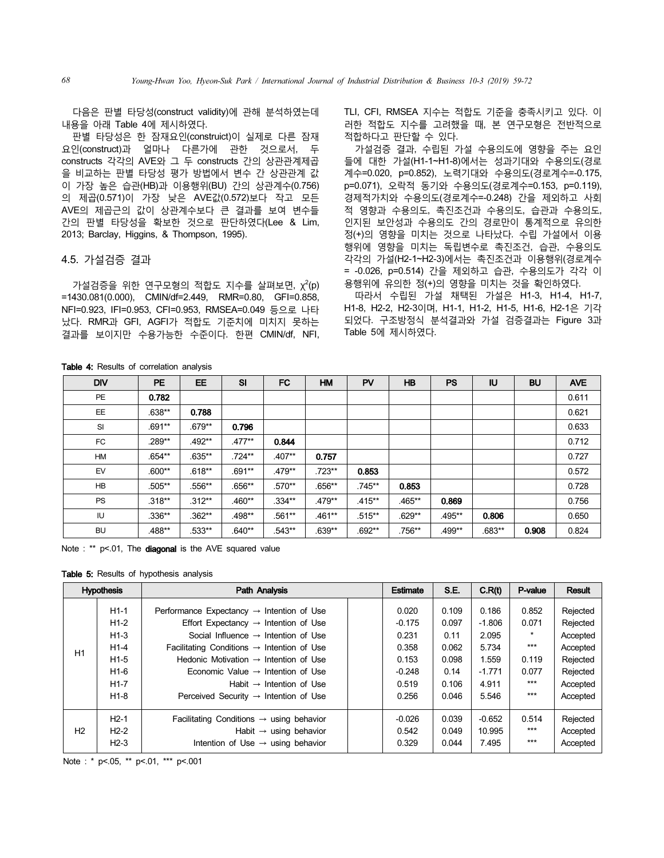다음은 판별 타당성(construct validity)에 관해 분석하였는데 내용을 아래 Table 4에 제시하였다.

판별 타당성은 한 잠재요인(construict)이 실제로 다른 잠재 요인(construct)과 얼마나 다른가에 관한 것으로서, 두 constructs 각각의 AVE와 그 두 constructs 간의 상관관계제곱 을 비교하는 판별 타당성 평가 방법에서 변수 간 상관관계 값 이 가장 높은 습관(HB)과 이용행위(BU) 간의 상관계수(0.756) 의 제곱(0.571)이 가장 낮은 AVE값(0.572)보다 작고 모든 AVE의 제곱근의 값이 상관계수보다 큰 결과를 보여 변수들 간의 판별 타당성을 확보한 것으로 판단하였다(Lee & Lim, 2013; Barclay, Higgins, & Thompson, 1995).

#### 4.5. 가설검증 결과

 $7$ 설검증을 위한 연구모형의 적합도 지수를 살펴보면,  $\chi^2(p)$ =1430.081(0.000), CMIN/df=2.449, RMR=0.80, GFI=0.858, NFI=0.923, IFI=0.953, CFI=0.953, RMSEA=0.049 등으로 나타 났다. RMR과 GFI, AGFI가 적합도 기준치에 미치지 못하는 결과를 보이지만 수용가능한 수준이다. 한편 CMIN/df, NFI,

TLI, CFI, RMSEA 지수는 적합도 기준을 충족시키고 있다. 이 러한 적합도 지수를 고려했을 때, 본 연구모형은 전반적으로 적합하다고 판단할 수 있다.

가설검증 결과, 수립된 가설 수용의도에 영향을 주는 요인 들에 대한 가설(H1-1~H1-8)에서는 성과기대와 수용의도(경로 계수=0.020, p=0.852), 노력기대와 수용의도(경로계수=-0.175, p=0.071), 오락적 동기와 수용의도(경로계수=0.153, p=0.119), 경제적가치와 수용의도(경로계수=-0.248) 간을 제외하고 사회 적 영향과 수용의도, 촉진조건과 수용의도, 습관과 수용의도, 인지된 보안성과 수용의도 간의 경로만이 통계적으로 유의한 정(+)의 영향을 미치는 것으로 나타났다. 수립 가설에서 이용 행위에 영향을 미치는 독립변수로 촉진조건, 습관, 수용의도 각각의 가설(H2-1~H2-3)에서는 촉진조건과 이용행위(경로계수 = -0.026, p=0.514) 간을 제외하고 습관, 수용의도가 각각 이 용행위에 유의한 정(+)의 영향을 미치는 것을 확인하였다.

따라서 수립된 가설 채택된 가설은 H1-3, H1-4, H1-7, H1-8, H2-2, H2-3이며, H1-1, H1-2, H1-5, H1-6, H2-1은 기각 되었다. 구조방정식 분석결과와 가설 검증결과는 Figure 3과 Table 5에 제시하였다.

| <b>DIV</b> | <b>PE</b> | <b>EE</b> | SI       | <b>FC</b> | <b>HM</b> | PV        | <b>HB</b> | <b>PS</b> | <b>IU</b> | <b>BU</b> | <b>AVE</b> |
|------------|-----------|-----------|----------|-----------|-----------|-----------|-----------|-----------|-----------|-----------|------------|
| <b>PE</b>  | 0.782     |           |          |           |           |           |           |           |           |           | 0.611      |
| EE         | $.638**$  | 0.788     |          |           |           |           |           |           |           |           | 0.621      |
| SI         | $.691**$  | $.679**$  | 0.796    |           |           |           |           |           |           |           | 0.633      |
| FC         | .289**    | $.492**$  | $.477**$ | 0.844     |           |           |           |           |           |           | 0.712      |
| HM         | $.654**$  | $.635***$ | $.724**$ | $.407**$  | 0.757     |           |           |           |           |           | 0.727      |
| EV         | $.600**$  | $.618**$  | $.691**$ | $.479**$  | $.723**$  | 0.853     |           |           |           |           | 0.572      |
| HB         | $.505***$ | $.556**$  | $.656**$ | .570**    | $.656**$  | $.745**$  | 0.853     |           |           |           | 0.728      |
| <b>PS</b>  | $.318**$  | $.312**$  | $.460**$ | $.334**$  | $.479**$  | $.415***$ | .465**    | 0.869     |           |           | 0.756      |
| IU         | $.336**$  | $.362**$  | .498**   | .561**    | $.461**$  | $.515***$ | $.629**$  | .495**    | 0.806     |           | 0.650      |
| <b>BU</b>  | .488**    | $.533**$  | $.640**$ | $.543**$  | $.639**$  | $.692**$  | .756**    | .499**    | $.683**$  | 0.908     | 0.824      |

Table 4: Results of correlation analysis

Note : \*\* p<.01, The **diagonal** is the AVE squared value

Table 5: Results of hypothesis analysis

|                | <b>Hypothesis</b>                                                            | <b>Path Analysis</b>                                                                                                                                                                                                                                                                                                                                                                                                      | Estimate | S.E.                                                                       | C.R(t)                                                             | P-value                                                                    | <b>Result</b>                                                          |                                                                                              |
|----------------|------------------------------------------------------------------------------|---------------------------------------------------------------------------------------------------------------------------------------------------------------------------------------------------------------------------------------------------------------------------------------------------------------------------------------------------------------------------------------------------------------------------|----------|----------------------------------------------------------------------------|--------------------------------------------------------------------|----------------------------------------------------------------------------|------------------------------------------------------------------------|----------------------------------------------------------------------------------------------|
| H1             | $H1-1$<br>$H1-2$<br>$H1-3$<br>$H1-4$<br>$H1-5$<br>$H1-6$<br>$H1-7$<br>$H1-8$ | Performance Expectancy $\rightarrow$ Intention of Use<br>Effort Expectancy $\rightarrow$ Intention of Use<br>Social Influence $\rightarrow$ Intention of Use<br>Facilitating Conditions $\rightarrow$ Intention of Use<br>Hedonic Motivation $\rightarrow$ Intention of Use<br>Economic Value $\rightarrow$ Intention of Use<br>Habit $\rightarrow$ Intention of Use<br>Perceived Security $\rightarrow$ Intention of Use |          | 0.020<br>$-0.175$<br>0.231<br>0.358<br>0.153<br>$-0.248$<br>0.519<br>0.256 | 0.109<br>0.097<br>0.11<br>0.062<br>0.098<br>0.14<br>0.106<br>0.046 | 0.186<br>$-1.806$<br>2.095<br>5.734<br>1.559<br>$-1.771$<br>4.911<br>5.546 | 0.852<br>0.071<br>$\star$<br>$***$<br>0.119<br>0.077<br>$***$<br>$***$ | Rejected<br>Rejected<br>Accepted<br>Accepted<br>Rejected<br>Rejected<br>Accepted<br>Accepted |
| H <sub>2</sub> | $H2-1$<br>$H2-2$<br>$H2-3$                                                   | Facilitating Conditions $\rightarrow$ using behavior<br>Habit $\rightarrow$ using behavior<br>Intention of Use $\rightarrow$ using behavior                                                                                                                                                                                                                                                                               |          | $-0.026$<br>0.542<br>0.329                                                 | 0.039<br>0.049<br>0.044                                            | $-0.652$<br>10.995<br>7.495                                                | 0.514<br>$***$<br>$***$                                                | Rejected<br>Accepted<br>Accepted                                                             |

Note : \* p<.05, \*\* p<.01, \*\*\* p<.001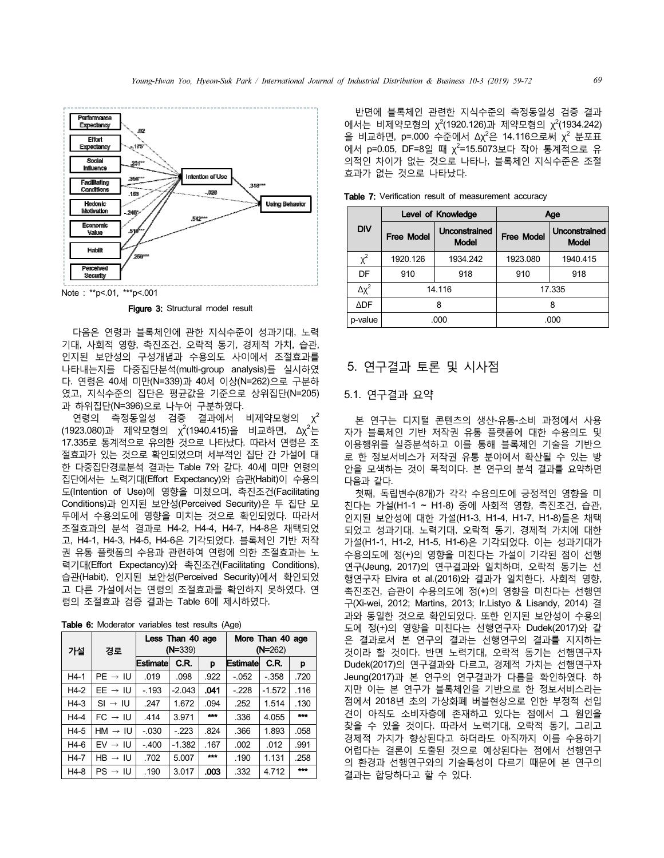

Note: \*\*p<.01, \*\*\*p<.001

Figure 3: Structural model result

다음은 연령과 블록체인에 관한 지식수준이 성과기대, 노력 기대, 사회적 영향, 촉진조건, 오락적 동기, 경제적 가치, 습관, 인지된 보안성의 구성개념과 수용의도 사이에서 조절효과를 나타내는지를 다중집단분석(multi-group analysis)를 실시하였 다. 연령은 40세 미만(N=339)과 40세 이상(N=262)으로 구분하 였고, 지식수준의 집단은 평균값을 기준으로 상위집단(N=205) 과 하위집단(N=396)으로 나누어 구분하였다.

연령의 측정동일성 검증 결과에서 비제약모형의  $\chi^2$ (1923.080)과 제약모형의 χ<sup>2</sup>(1940.415)을 비교하면, Δχ<sup>2</sup>는 17.335로 통계적으로 유의한 것으로 나타났다. 따라서 연령은 조 절효과가 있는 것으로 확인되었으며 세부적인 집단 간 가설에 대 한 다중집단경로분석 결과는 Table 7와 같다. 40세 미만 연령의 집단에서는 노력기대(Effort Expectancy)와 습관(Habit)이 수용의 도(Intention of Use)에 영향을 미쳤으며, 촉진조건(Facilitating Conditions)과 인지된 보안성(Perceived Security)은 두 집단 모 두에서 수용의도에 영향을 미치는 것으로 확인되었다. 따라서 조절효과의 분석 결과로 H4-2, H4-4, H4-7, H4-8은 채택되었 고, H4-1, H4-3, H4-5, H4-6은 기각되었다. 블록체인 기반 저작 권 유통 플랫폼의 수용과 관련하여 연령에 의한 조절효과는 노 력기대(Effort Expectancy)와 촉진조건(Facilitating Conditions), 습관(Habit), 인지된 보안성(Perceived Security)에서 확인되었 고 다른 가설에서는 연령의 조절효과를 확인하지 못하였다. 연 령의 조절효과 검증 결과는 Table 6에 제시하였다.

|    | Less Than 40 age | More Than 40 age |
|----|------------------|------------------|
| 가설 | $(N=339)$        | $(N=262)$        |

Table 6: Moderator variables test results (Age)

|        |                     | LOOD THOU TV CAP |           |       |                 | <b>THE THEFT CAPP</b> |       |
|--------|---------------------|------------------|-----------|-------|-----------------|-----------------------|-------|
| 가설     | 경로                  |                  | $(N=339)$ |       |                 | $(N=262)$             |       |
|        |                     | <b>Estimate</b>  | C.R.      | p     | <b>Estimate</b> | C.R.                  | p     |
| $H4-1$ | $PE \rightarrow IU$ | .019             | .098      | .922  | $-052$          | $-358$                | .720  |
| $H4-2$ | $EE \rightarrow IU$ | $-193$           | $-2.043$  | .041  | $-228$          | $-1.572$              | .116  |
| $H4-3$ | $SI \rightarrow IU$ | .247             | 1.672     | .094  | .252            | 1.514                 | .130  |
| $H4-4$ | $FC \rightarrow IU$ | .414             | 3.971     | 1.1.1 | .336            | 4.055                 | $***$ |
| H4-5   | $HM \rightarrow IU$ | $-.030$          | $-223$    | .824  | .366            | 1.893                 | .058  |
| H4-6   | $EV \rightarrow IU$ | $-.400$          | $-1.382$  | .167  | .002            | .012                  | .991  |
| H4-7   | $HB \rightarrow IU$ | .702             | 5.007     | ***   | .190            | 1.131                 | .258  |
| H4-8   | $PS \rightarrow IU$ | .190             | 3.017     | .003  | .332            | 4.712                 | ***   |

반면에 블록체인 관련한 지식수준의 측정동일성 검증 결과 에서는 비제약모형의 χ<sup>2</sup>(1920.126)과 제약모형의 χ<sup>2</sup>(1934.242) 을 비교하면, p=.000 수준에서 Δχ<sup>2</sup>은 14.116으로써 χ<sup>2</sup> 분포표 에서 p=0.05, DF=8일 때  $\chi^2$ =15.5073보다 작아 통계적으로 유 의적인 차이가 없는 것으로 나타나, 블록체인 지식수준은 조절 효과가 없는 것으로 나타났다.

|                |                   | Level of Knowledge            | Age               |                               |  |
|----------------|-------------------|-------------------------------|-------------------|-------------------------------|--|
| <b>DIV</b>     | <b>Free Model</b> | Unconstrained<br><b>Model</b> | <b>Free Model</b> | Unconstrained<br><b>Model</b> |  |
| $\chi^2$       | 1920.126          | 1934.242                      | 1923.080          | 1940.415                      |  |
| DF             | 910               | 918                           | 910               | 918                           |  |
| $\Delta\chi^2$ |                   | 14.116                        |                   | 17.335                        |  |
| ΔDF            |                   | 8                             |                   | 8                             |  |
| p-value        |                   | .000                          |                   | .000                          |  |

Table 7: Verification result of measurement accuracy

## 5. 연구결과 토론 및 시사점

### 5.1. 연구결과 요약

본 연구는 디지털 콘텐츠의 생산-유통-소비 과정에서 사용 자가 블록체인 기반 저작권 유통 플랫폼에 대한 수용의도 및 이용행위를 실증분석하고 이를 통해 블록체인 기술을 기반으 로 한 정보서비스가 저작권 유통 분야에서 확산될 수 있는 방 안을 모색하는 것이 목적이다. 본 연구의 분석 결과를 요약하면 다음과 같다.

첫째, 독립변수(8개)가 각각 수용의도에 긍정적인 영향을 미 친다는 가설(H1-1 ~ H1-8) 중에 사회적 영향, 촉진조건, 습관, 인지된 보안성에 대한 가설(H1-3, H1-4, H1-7, H1-8)들은 채택 되었고 성과기대, 노력기대, 오락적 동기, 경제적 가치에 대한 가설(H1-1, H1-2, H1-5, H1-6)은 기각되었다. 이는 성과기대가 수용의도에 정(+)의 영향을 미친다는 가설이 기각된 점이 선행 연구(Jeung, 2017)의 연구결과와 일치하며, 오락적 동기는 선 행연구자 Elvira et al.(2016)와 결과가 일치한다. 사회적 영향, 촉진조건, 습관이 수용의도에 정(+)의 영향을 미친다는 선행연 구(Xi-wei, 2012; Martins, 2013; Ir.Listyo & Lisandy, 2014) 결 과와 동일한 것으로 확인되었다. 또한 인지된 보안성이 수용의 도에 정(+)의 영향을 미친다는 선행연구자 Dudek(2017)와 같 은 결과로서 본 연구의 결과는 선행연구의 결과를 지지하는 것이라 할 것이다. 반면 노력기대, 오락적 동기는 선행연구자 Dudek(2017)의 연구결과와 다르고, 경제적 가치는 선행연구자 Jeung(2017)과 본 연구의 연구결과가 다름을 확인하였다. 하 지만 이는 본 연구가 블록체인을 기반으로 한 정보서비스라는 점에서 2018년 초의 가상화폐 버블현상으로 인한 부정적 선입 견이 아직도 소비자층에 존재하고 있다는 점에서 그 원인을 찾을 수 있을 것이다. 따라서 노력기대, 오락적 동기, 그리고 경제적 가치가 향상된다고 하더라도 아직까지 이를 수용하기 어렵다는 결론이 도출된 것으로 예상된다는 점에서 선행연구 의 환경과 선행연구와의 기술특성이 다르기 때문에 본 연구의 결과는 합당하다고 할 수 있다.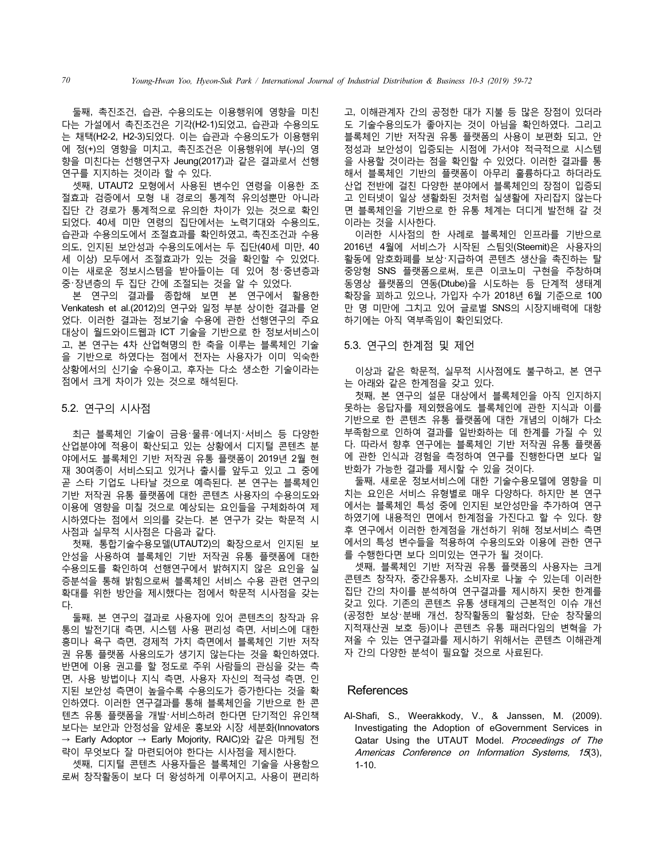둘째, 촉진조건, 습관, 수용의도는 이용행위에 영향을 미친 다는 가설에서 촉진조건은 기각(H2-1)되었고, 습관과 수용의도 는 채택(H2-2, H2-3)되었다. 이는 습관과 수용의도가 이용행위 에 정(+)의 영향을 미치고, 촉진조건은 이용행위에 부(-)의 영 향을 미친다는 선행연구자 Jeung(2017)과 같은 결과로서 선행 연구를 지지하는 것이라 할 수 있다.

셋째, UTAUT2 모형에서 사용된 변수인 연령을 이용한 조 절효과 검증에서 모형 내 경로의 통계적 유의성뿐만 아니라 집단 간 경로가 통계적으로 유의한 차이가 있는 것으로 확인 되었다. 40세 미만 연령의 집단에서는 노력기대와 수용의도, 습관과 수용의도에서 조절효과를 확인하였고, 촉진조건과 수용 의도, 인지된 보안성과 수용의도에서는 두 집단(40세 미만, 40 세 이상) 모두에서 조절효과가 있는 것을 확인할 수 있었다. 이는 새로운 정보시스템을 받아들이는 데 있어 청・중년층과 중・장년층의 두 집단 간에 조절되는 것을 알 수 있었다.

본 연구의 결과를 종합해 보면 본 연구에서 활용한 Venkatesh et al.(2012)의 연구와 일정 부분 상이한 결과를 얻 었다. 이러한 결과는 정보기술 수용에 관한 선행연구의 주요 대상이 월드와이드웹과 ICT 기술을 기반으로 한 정보서비스이 고, 본 연구는 4차 산업혁명의 한 축을 이루는 블록체인 기술 을 기반으로 하였다는 점에서 전자는 사용자가 이미 익숙한 상황에서의 신기술 수용이고, 후자는 다소 생소한 기술이라는 점에서 크게 차이가 있는 것으로 해석된다.

#### 5.2. 연구의 시사점

최근 블록체인 기술이 금융・물류・에너지・서비스 등 다양한 산업분야에 적용이 확산되고 있는 상황에서 디지털 콘텐츠 분 야에서도 블록체인 기반 저작권 유통 플랫폼이 2019년 2월 현 재 30여종이 서비스되고 있거나 출시를 앞두고 있고 그 중에 곧 스타 기업도 나타날 것으로 예측된다. 본 연구는 블록체인 기반 저작권 유통 플랫폼에 대한 콘텐츠 사용자의 수용의도와 이용에 영향을 미칠 것으로 예상되는 요인들을 구체화하여 제 시하였다는 점에서 의의를 갖는다. 본 연구가 갖는 학문적 시 사점과 실무적 시사점은 다음과 같다.

첫째, 통합기술수용모델(UTAUT2)의 확장으로서 인지된 보 안성을 사용하여 블록체인 기반 저작권 유통 플랫폼에 대한 수용의도를 확인하여 선행연구에서 밝혀지지 않은 요인을 실 증분석을 통해 밝힘으로써 블록체인 서비스 수용 관련 연구의 확대를 위한 방안을 제시했다는 점에서 학문적 시사점을 갖는 다.

둘째, 본 연구의 결과로 사용자에 있어 콘텐츠의 창작과 유 통의 발전기대 측면, 시스템 사용 편리성 측면, 서비스에 대한 흥미나 욕구 측면, 경제적 가치 측면에서 블록체인 기반 저작 권 유통 플랫폼 사용의도가 생기지 않는다는 것을 확인하였다. 반면에 이용 권고를 할 정도로 주위 사람들의 관심을 갖는 측 면, 사용 방법이나 지식 측면, 사용자 자신의 적극성 측면, 인 지된 보안성 측면이 높을수록 수용의도가 증가한다는 것을 확 인하였다. 이러한 연구결과를 통해 블록체인을 기반으로 한 콘 텐츠 유통 플랫폼을 개발・서비스하려 한다면 단기적인 유인책 보다는 보안과 안정성을 앞세운 홍보와 시장 세분화(Innovators → Early Adoptor → Early Mojority, RAIC)와 같은 마케팅 전 략이 무엇보다 잘 마련되어야 한다는 시사점을 제시한다.

셋째, 디지털 콘텐츠 사용자들은 블록체인 기술을 사용함으 로써 창작활동이 보다 더 왕성하게 이루어지고, 사용이 편리하 고, 이해관계자 간의 공정한 대가 지불 등 많은 장점이 있더라 도 기술수용의도가 좋아지는 것이 아님을 확인하였다. 그리고 블록체인 기반 저작권 유통 플랫폼의 사용이 보편화 되고, 안 정성과 보안성이 입증되는 시점에 가서야 적극적으로 시스템 을 사용할 것이라는 점을 확인할 수 있었다. 이러한 결과를 통 해서 블록체인 기반의 플랫폼이 아무리 훌륭하다고 하더라도 산업 전반에 걸친 다양한 분야에서 블록체인의 장점이 입증되 고 인터넷이 일상 생활화된 것처럼 실생활에 자리잡지 않는다 면 블록체인을 기반으로 한 유통 체계는 더디게 발전해 갈 것 이라는 것을 시사한다.

이러한 시사점의 한 사례로 블록체인 인프라를 기반으로 2016년 4월에 서비스가 시작된 스팀잇(Steemit)은 사용자의 활동에 암호화폐를 보상・지급하여 콘텐츠 생산을 촉진하는 탈 중앙형 SNS 플랫폼으로써, 토큰 이코노미 구현을 주창하며 동영상 플랫폼의 연동(Dtube)을 시도하는 등 단계적 생태계 확장을 꾀하고 있으나, 가입자 수가 2018년 6월 기준으로 100 만 명 미만에 그치고 있어 글로벌 SNS의 시장지배력에 대항 하기에는 아직 역부족임이 확인되었다.

#### 5.3. 연구의 한계점 및 제언

이상과 같은 학문적, 실무적 시사점에도 불구하고, 본 연구 는 아래와 같은 한계점을 갖고 있다.

첫째, 본 연구의 설문 대상에서 블록체인을 아직 인지하지 못하는 응답자를 제외했음에도 블록체인에 관한 지식과 이를 기반으로 한 콘텐츠 유통 플랫폼에 대한 개념의 이해가 다소 부족함으로 인하여 결과를 일반화하는 데 한계를 가질 수 있 다. 따라서 향후 연구에는 블록체인 기반 저작권 유통 플랫폼 에 관한 인식과 경험을 측정하여 연구를 진행한다면 보다 일 반화가 가능한 결과를 제시할 수 있을 것이다.

둘째, 새로운 정보서비스에 대한 기술수용모델에 영향을 미 치는 요인은 서비스 유형별로 매우 다양하다. 하지만 본 연구 에서는 블록체인 특성 중에 인지된 보안성만을 추가하여 연구 하였기에 내용적인 면에서 한계점을 가진다고 할 수 있다. 향 후 연구에서 이러한 한계점을 개선하기 위해 정보서비스 측면 에서의 특성 변수들을 적용하여 수용의도와 이용에 관한 연구 를 수행한다면 보다 의미있는 연구가 될 것이다.

셋째, 블록체인 기반 저작권 유통 플랫폼의 사용자는 크게 콘텐츠 창작자, 중간유통자, 소비자로 나눌 수 있는데 이러한 집단 간의 차이를 분석하여 연구결과를 제시하지 못한 한계를 갖고 있다. 기존의 콘텐츠 유통 생태계의 근본적인 이슈 개선 (공정한 보상・분배 개선, 창작활동의 활성화, 단순 창작물의 지적재산권 보호 등)이나 콘텐츠 유통 패러다임의 변혁을 가 져올 수 있는 연구결과를 제시하기 위해서는 콘텐츠 이해관계 자 간의 다양한 분석이 필요할 것으로 사료된다.

#### **References**

Al-Shafi, S., Weerakkody, V., & Janssen, M. (2009). Investigating the Adoption of eGovernment Services in Qatar Using the UTAUT Model. Proceedings of The Americas Conference on Information Systems, 15(3), 1-10.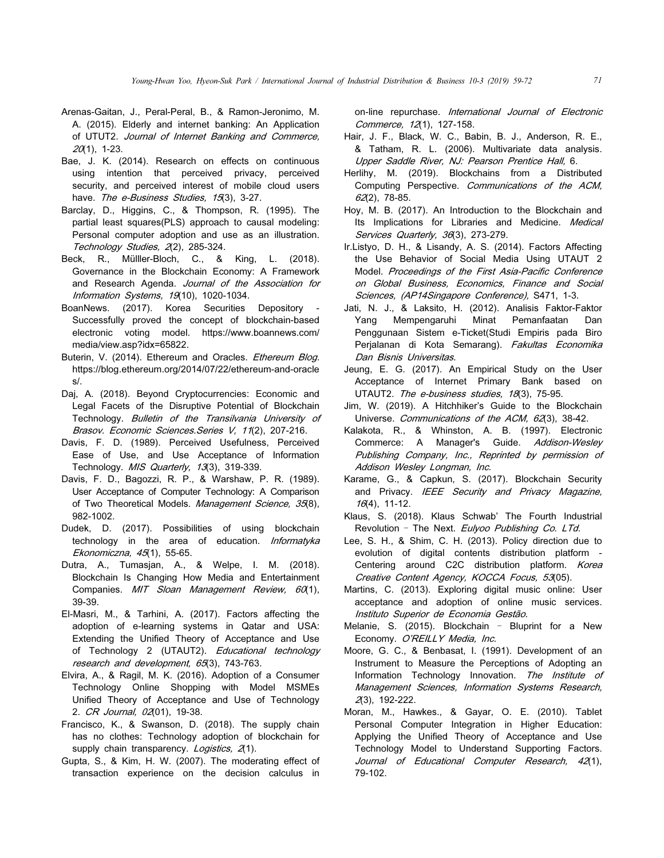- Arenas-Gaitan, J., Peral-Peral, B., & Ramon-Jeronimo, M. A. (2015). Elderly and internet banking: An Application of UTUT2. Journal of Internet Banking and Commerce,  $20(1)$ , 1-23.
- Bae, J. K. (2014). Research on effects on continuous using intention that perceived privacy, perceived security, and perceived interest of mobile cloud users have. The e-Business Studies, 15(3), 3-27.
- Barclay, D., Higgins, C., & Thompson, R. (1995). The partial least squares(PLS) approach to causal modeling: Personal computer adoption and use as an illustration. Technology Studies, 2(2), 285-324.
- Beck, R., Mülller-Bloch, C., & King, L. (2018). Governance in the Blockchain Economy: A Framework and Research Agenda. Journal of the Association for Information Systems, 19(10), 1020-1034.
- BoanNews. (2017). Korea Securities Depository Successfully proved the concept of blockchain-based electronic voting model. https://www.boannews.com/ media/view.asp?idx=65822.
- Buterin, V. (2014). Ethereum and Oracles. Ethereum Blog. https://blog.ethereum.org/2014/07/22/ethereum-and-oracle s/.
- Daj, A. (2018). Beyond Cryptocurrencies: Economic and Legal Facets of the Disruptive Potential of Blockchain Technology. Bulletin of the Transilvania University of Brasov. Economic Sciences. Series V, 11(2), 207-216.
- Davis, F. D. (1989). Perceived Usefulness, Perceived Ease of Use, and Use Acceptance of Information Technology. MIS Quarterly, 13(3), 319-339.
- Davis, F. D., Bagozzi, R. P., & Warshaw, P. R. (1989). User Acceptance of Computer Technology: A Comparison of Two Theoretical Models. Management Science, 35(8), 982-1002.
- Dudek, D. (2017). Possibilities of using blockchain technology in the area of education. Informatyka Ekonomiczna, 45(1), 55-65.
- Dutra, A., Tumasjan, A., & Welpe, I. M. (2018). Blockchain Is Changing How Media and Entertainment Companies. MIT Sloan Management Review, 60(1), 39-39.
- El-Masri, M., & Tarhini, A. (2017). Factors affecting the adoption of e-learning systems in Qatar and USA: Extending the Unified Theory of Acceptance and Use of Technology 2 (UTAUT2). Educational technology research and development, 65(3), 743-763.
- Elvira, A., & Ragil, M. K. (2016). Adoption of a Consumer Technology Online Shopping with Model MSMEs Unified Theory of Acceptance and Use of Technology 2. CR Journal, 02(01), 19-38.
- Francisco, K., & Swanson, D. (2018). The supply chain has no clothes: Technology adoption of blockchain for supply chain transparency. Logistics, 2(1).
- Gupta, S., & Kim, H. W. (2007). The moderating effect of transaction experience on the decision calculus in

on-line repurchase. International Journal of Electronic Commerce, 12(1), 127-158.

- Hair, J. F., Black, W. C., Babin, B. J., Anderson, R. E., & Tatham, R. L. (2006). Multivariate data analysis. Upper Saddle River, NJ: Pearson Prentice Hall, 6.
- Herlihy, M. (2019). Blockchains from a Distributed Computing Perspective. Communications of the ACM, 62(2), 78-85.
- Hoy, M. B. (2017). An Introduction to the Blockchain and Its Implications for Libraries and Medicine. Medical Services Quarterly, 36(3), 273-279.
- Ir.Listyo, D. H., & Lisandy, A. S. (2014). Factors Affecting the Use Behavior of Social Media Using UTAUT 2 Model. Proceedings of the First Asia-Pacific Conference on Global Business, Economics, Finance and Social Sciences, (AP14Singapore Conference), S471, 1-3.
- Jati, N. J., & Laksito, H. (2012). Analisis Faktor-Faktor Yang Mempengaruhi Minat Pemanfaatan Dan Penggunaan Sistem e-Ticket(Studi Empiris pada Biro Perjalanan di Kota Semarang). Fakultas Economika Dan Bisnis Universitas.
- Jeung, E. G. (2017). An Empirical Study on the User Acceptance of Internet Primary Bank based on UTAUT2. The e-business studies, 18(3), 75-95.
- Jim, W. (2019). A Hitchhiker's Guide to the Blockchain Universe. Communications of the ACM, 62(3), 38-42.
- Kalakota, R., & Whinston, A. B. (1997). Electronic Commerce: A Manager's Guide. Addison-Wesley Publishing Company, Inc., Reprinted by permission of Addison Wesley Longman, Inc.
- Karame, G., & Capkun, S. (2017). Blockchain Security and Privacy. IEEE Security and Privacy Magazine, 16(4), 11-12.
- Klaus, S. (2018). Klaus Schwab' The Fourth Industrial Revolution - The Next. Eulyoo Publishing Co. LTd.
- Lee, S. H., & Shim, C. H. (2013). Policy direction due to evolution of digital contents distribution platform - Centering around C2C distribution platform. Korea Creative Content Agency, KOCCA Focus, 53(05).
- Martins, C. (2013). Exploring digital music online: User acceptance and adoption of online music services. Instituto Superior de Economia Gestão.
- Melanie, S. (2015). Blockchain Bluprint for a New Economy. O'REILLY Media, Inc.
- Moore, G. C., & Benbasat, I. (1991). Development of an Instrument to Measure the Perceptions of Adopting an Information Technology Innovation. The Institute of Management Sciences, Information Systems Research, 2(3), 192-222.
- Moran, M., Hawkes., & Gayar, O. E. (2010). Tablet Personal Computer Integration in Higher Education: Applying the Unified Theory of Acceptance and Use Technology Model to Understand Supporting Factors. Journal of Educational Computer Research, 42(1), 79-102.